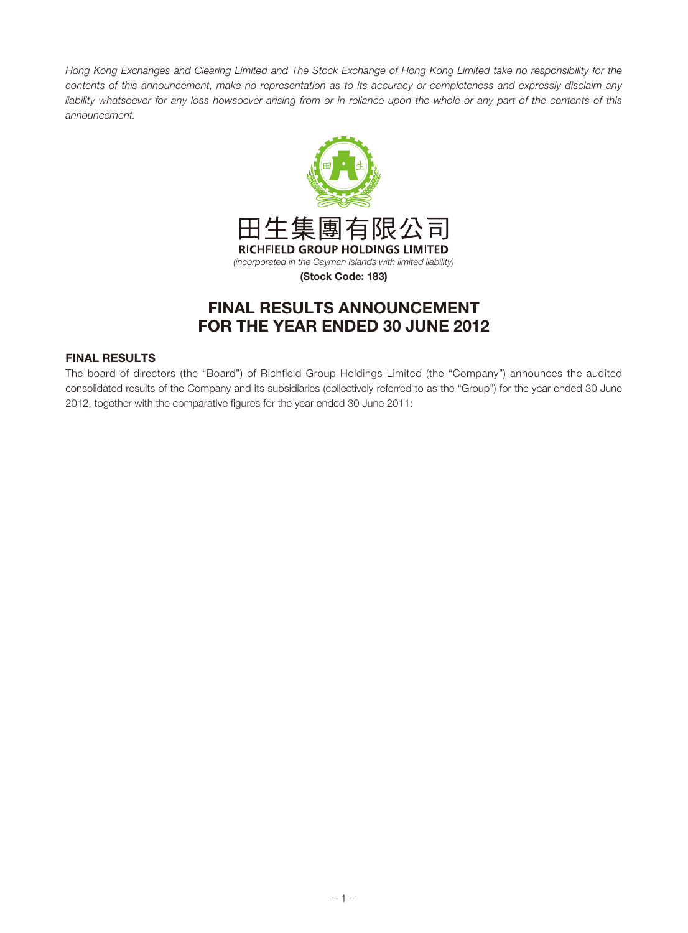Hong Kong Exchanges and Clearing Limited and The Stock Exchange of Hong Kong Limited take no responsibility for the contents of this announcement, make no representation as to its accuracy or completeness and expressly disclaim any liability whatsoever for any loss howsoever arising from or in reliance upon the whole or any part of the contents of this announcement.



# **FINAL RESULTS ANNOUNCEMENT FOR THE YEAR ENDED 30 JUNE 2012**

# **FINAL RESULTS**

The board of directors (the "Board") of Richfield Group Holdings Limited (the "Company") announces the audited consolidated results of the Company and its subsidiaries (collectively referred to as the "Group") for the year ended 30 June 2012, together with the comparative figures for the year ended 30 June 2011: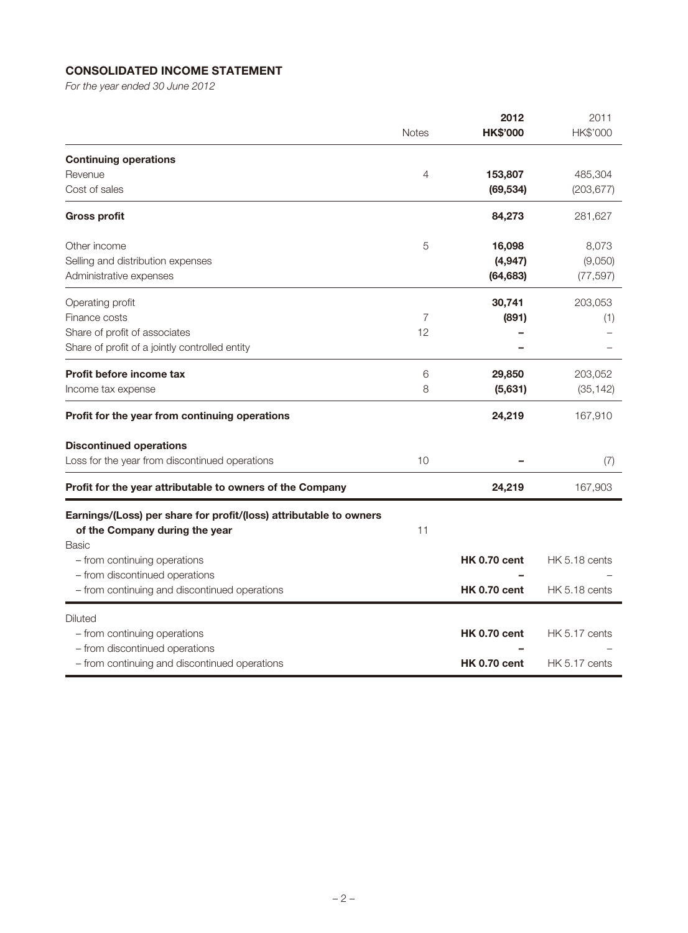# **CONSOLIDATED INCOME STATEMENT**

For the year ended 30 June 2012

|                                                                                                                      |                | 2012<br><b>HK\$'000</b> | 2011<br>HK\$'000 |
|----------------------------------------------------------------------------------------------------------------------|----------------|-------------------------|------------------|
|                                                                                                                      | <b>Notes</b>   |                         |                  |
| <b>Continuing operations</b>                                                                                         |                |                         |                  |
| Revenue                                                                                                              | $\overline{4}$ | 153,807                 | 485,304          |
| Cost of sales                                                                                                        |                | (69, 534)               | (203, 677)       |
| <b>Gross profit</b>                                                                                                  |                | 84,273                  | 281,627          |
| Other income                                                                                                         | 5              | 16,098                  | 8,073            |
| Selling and distribution expenses                                                                                    |                | (4, 947)                | (9,050)          |
| Administrative expenses                                                                                              |                | (64, 683)               | (77, 597)        |
| Operating profit                                                                                                     |                | 30,741                  | 203,053          |
| Finance costs                                                                                                        | 7              | (891)                   | (1)              |
| Share of profit of associates                                                                                        | 12             |                         |                  |
| Share of profit of a jointly controlled entity                                                                       |                |                         |                  |
| Profit before income tax                                                                                             | 6              | 29,850                  | 203,052          |
| Income tax expense                                                                                                   | 8              | (5,631)                 | (35, 142)        |
| Profit for the year from continuing operations                                                                       |                | 24,219                  | 167,910          |
| <b>Discontinued operations</b>                                                                                       |                |                         |                  |
| Loss for the year from discontinued operations                                                                       | 10             |                         | (7)              |
| Profit for the year attributable to owners of the Company                                                            |                | 24,219                  | 167,903          |
| Earnings/(Loss) per share for profit/(loss) attributable to owners<br>of the Company during the year<br><b>Basic</b> | 11             |                         |                  |
| - from continuing operations                                                                                         |                | <b>HK 0.70 cent</b>     | HK 5.18 cents    |
| - from discontinued operations                                                                                       |                |                         |                  |
| - from continuing and discontinued operations                                                                        |                | <b>HK 0.70 cent</b>     | HK 5.18 cents    |
| Diluted                                                                                                              |                |                         |                  |
| - from continuing operations                                                                                         |                | <b>HK 0.70 cent</b>     | HK 5.17 cents    |
| - from discontinued operations                                                                                       |                |                         |                  |
| - from continuing and discontinued operations                                                                        |                | <b>HK 0.70 cent</b>     | HK 5.17 cents    |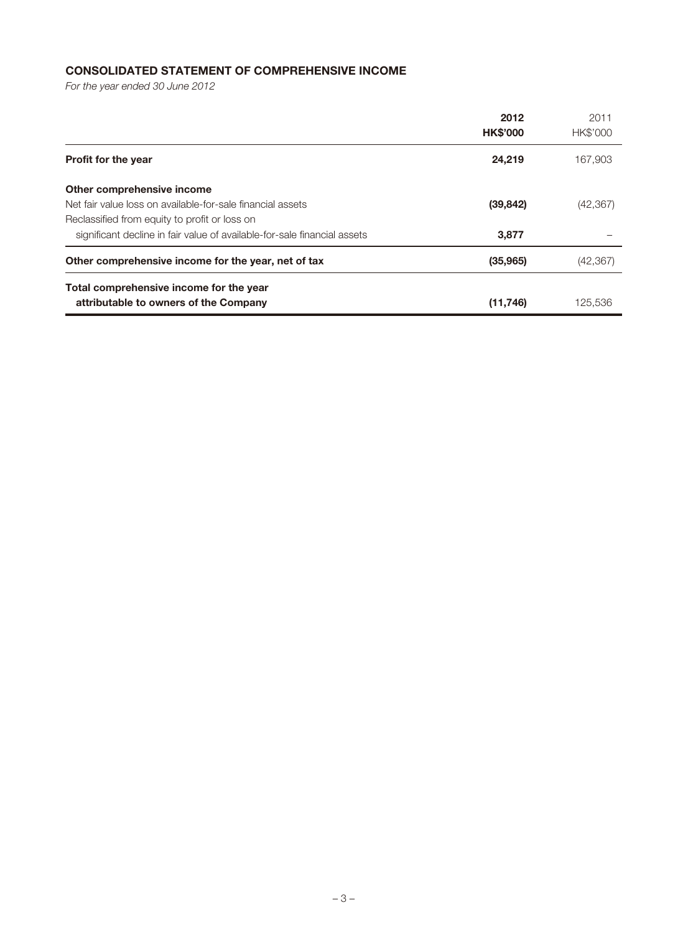# **CONSOLIDATED STATEMENT OF COMPREHENSIVE INCOME**

For the year ended 30 June 2012

|                                                                                                                                           | 2012<br><b>HK\$'000</b> | 2011<br><b>HK\$'000</b> |
|-------------------------------------------------------------------------------------------------------------------------------------------|-------------------------|-------------------------|
| <b>Profit for the year</b>                                                                                                                | 24,219                  | 167,903                 |
| Other comprehensive income<br>Net fair value loss on available-for-sale financial assets<br>Reclassified from equity to profit or loss on | (39, 842)               | (42, 367)               |
| significant decline in fair value of available-for-sale financial assets                                                                  | 3,877                   |                         |
| Other comprehensive income for the year, net of tax                                                                                       | (35,965)                | (42, 367)               |
| Total comprehensive income for the year<br>attributable to owners of the Company                                                          | (11,746)                | 125.536                 |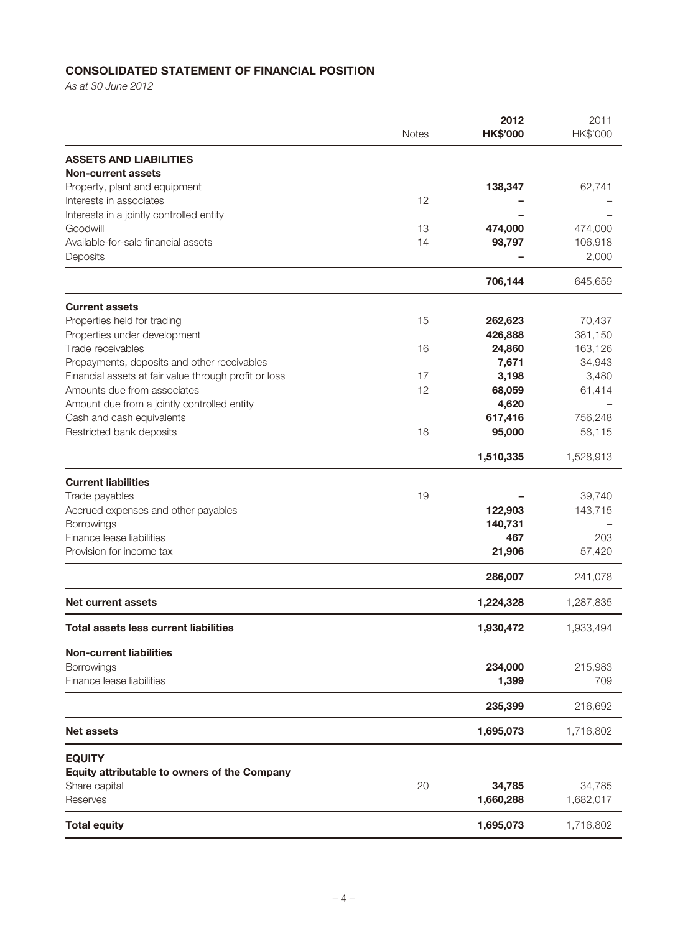# **CONSOLIDATED STATEMENT OF FINANCIAL POSITION**

As at 30 June 2012

|                                                       | <b>Notes</b> | 2012<br><b>HK\$'000</b> | 2011<br>HK\$'000 |
|-------------------------------------------------------|--------------|-------------------------|------------------|
| <b>ASSETS AND LIABILITIES</b>                         |              |                         |                  |
| <b>Non-current assets</b>                             |              |                         |                  |
| Property, plant and equipment                         |              | 138,347                 | 62,741           |
| Interests in associates                               | 12           |                         |                  |
| Interests in a jointly controlled entity              |              |                         |                  |
| Goodwill                                              | 13           | 474,000                 | 474,000          |
| Available-for-sale financial assets                   | 14           | 93,797                  | 106,918          |
| Deposits                                              |              |                         | 2,000            |
|                                                       |              | 706,144                 | 645,659          |
| <b>Current assets</b>                                 |              |                         |                  |
| Properties held for trading                           | 15           | 262,623                 | 70,437           |
| Properties under development                          |              | 426,888                 | 381,150          |
| Trade receivables                                     | 16           | 24,860                  | 163,126          |
| Prepayments, deposits and other receivables           |              | 7,671                   | 34,943           |
| Financial assets at fair value through profit or loss | 17           | 3,198                   | 3,480            |
| Amounts due from associates                           | 12           | 68,059                  | 61,414           |
| Amount due from a jointly controlled entity           |              | 4,620                   |                  |
| Cash and cash equivalents                             |              | 617,416                 | 756,248          |
| Restricted bank deposits                              | 18           | 95,000                  | 58,115           |
|                                                       |              | 1,510,335               | 1,528,913        |
| <b>Current liabilities</b>                            |              |                         |                  |
| Trade payables                                        | 19           |                         | 39,740           |
| Accrued expenses and other payables                   |              | 122,903                 | 143,715          |
| Borrowings                                            |              | 140,731                 |                  |
| Finance lease liabilities                             |              | 467                     | 203              |
| Provision for income tax                              |              | 21,906                  | 57,420           |
|                                                       |              | 286,007                 | 241,078          |
| Net current assets                                    |              | 1,224,328               | 1,287,835        |
| <b>Total assets less current liabilities</b>          |              | 1,930,472               | 1,933,494        |
| <b>Non-current liabilities</b>                        |              |                         |                  |
| Borrowings                                            |              | 234,000                 | 215,983          |
| Finance lease liabilities                             |              | 1,399                   | 709              |
|                                                       |              | 235,399                 | 216,692          |
| <b>Net assets</b>                                     |              | 1,695,073               | 1,716,802        |
| <b>EQUITY</b>                                         |              |                         |                  |
| Equity attributable to owners of the Company          |              |                         |                  |
| Share capital                                         | 20           | 34,785                  | 34,785           |
| Reserves                                              |              | 1,660,288               | 1,682,017        |
| <b>Total equity</b>                                   |              | 1,695,073               | 1,716,802        |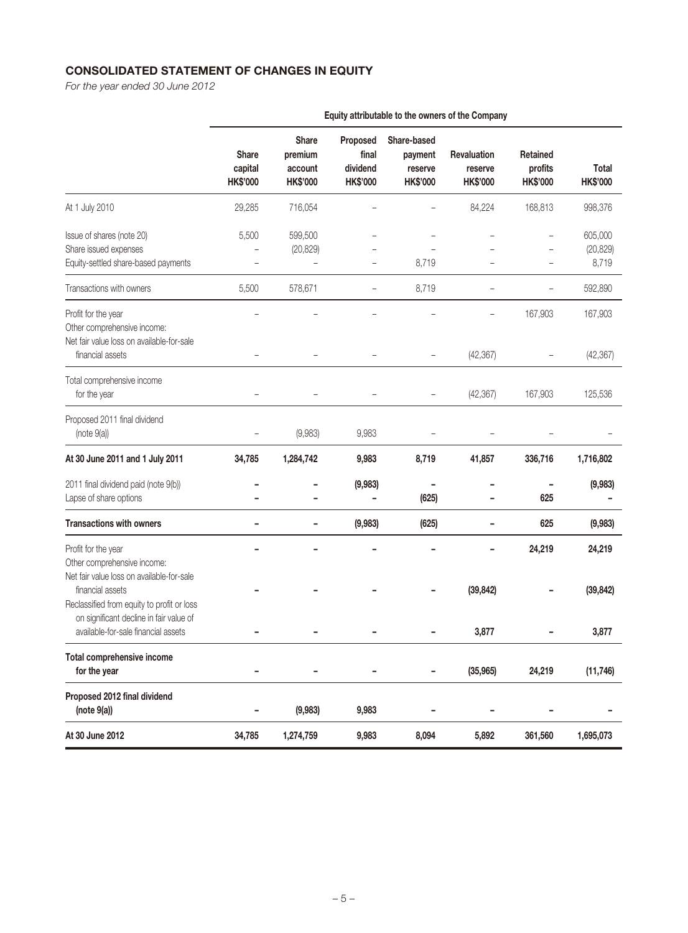# **CONSOLIDATED STATEMENT OF CHANGES IN EQUITY**

For the year ended 30 June 2012

|                                                                                                                                                        | <b>Share</b><br>capital<br><b>HK\$'000</b> | <b>Share</b><br>premium<br>account<br><b>HK\$'000</b> | Proposed<br>final<br>dividend<br><b>HK\$'000</b> | Share-based<br>payment<br>reserve<br><b>HK\$'000</b> | Revaluation<br>reserve<br><b>HK\$'000</b> | Retained<br>profits<br><b>HK\$'000</b> | <b>Total</b><br><b>HK\$'000</b> |
|--------------------------------------------------------------------------------------------------------------------------------------------------------|--------------------------------------------|-------------------------------------------------------|--------------------------------------------------|------------------------------------------------------|-------------------------------------------|----------------------------------------|---------------------------------|
| At 1 July 2010                                                                                                                                         | 29,285                                     | 716,054                                               |                                                  |                                                      | 84,224                                    | 168,813                                | 998,376                         |
| Issue of shares (note 20)<br>Share issued expenses<br>Equity-settled share-based payments                                                              | 5,500                                      | 599,500<br>(20, 829)                                  |                                                  | 8,719                                                |                                           |                                        | 605,000<br>(20, 829)<br>8,719   |
| Transactions with owners                                                                                                                               | 5,500                                      | 578,671                                               |                                                  | 8,719                                                |                                           |                                        | 592,890                         |
| Profit for the year<br>Other comprehensive income:<br>Net fair value loss on available-for-sale                                                        |                                            |                                                       |                                                  |                                                      |                                           | 167,903                                | 167,903                         |
| financial assets                                                                                                                                       |                                            |                                                       |                                                  |                                                      | (42, 367)                                 |                                        | (42, 367)                       |
| Total comprehensive income<br>for the year                                                                                                             |                                            |                                                       |                                                  | $\overline{\phantom{0}}$                             | (42, 367)                                 | 167,903                                | 125,536                         |
| Proposed 2011 final dividend<br>(note 9(a))                                                                                                            |                                            | (9,983)                                               | 9,983                                            |                                                      |                                           |                                        |                                 |
| At 30 June 2011 and 1 July 2011                                                                                                                        | 34,785                                     | 1,284,742                                             | 9,983                                            | 8,719                                                | 41,857                                    | 336,716                                | 1,716,802                       |
| 2011 final dividend paid (note 9(b))<br>Lapse of share options                                                                                         |                                            |                                                       | (9,983)                                          | (625)                                                |                                           | 625                                    | (9,983)                         |
| <b>Transactions with owners</b>                                                                                                                        |                                            |                                                       | (9,983)                                          | (625)                                                |                                           | 625                                    | (9,983)                         |
| Profit for the year<br>Other comprehensive income:                                                                                                     |                                            |                                                       |                                                  |                                                      |                                           | 24,219                                 | 24,219                          |
| Net fair value loss on available-for-sale<br>financial assets<br>Reclassified from equity to profit or loss<br>on significant decline in fair value of |                                            |                                                       |                                                  |                                                      | (39, 842)                                 |                                        | (39, 842)                       |
| available-for-sale financial assets                                                                                                                    |                                            |                                                       |                                                  |                                                      | 3,877                                     |                                        | 3,877                           |
| Total comprehensive income<br>for the year                                                                                                             | -                                          | ۰                                                     | -                                                | ۰                                                    | (35, 965)                                 | 24,219                                 | (11, 746)                       |
| Proposed 2012 final dividend<br>(note 9(a))                                                                                                            |                                            | (9,983)                                               | 9,983                                            |                                                      |                                           |                                        |                                 |
| At 30 June 2012                                                                                                                                        | 34,785                                     | 1,274,759                                             | 9,983                                            | 8,094                                                | 5,892                                     | 361,560                                | 1,695,073                       |

**Equity attributable to the owners of the Company**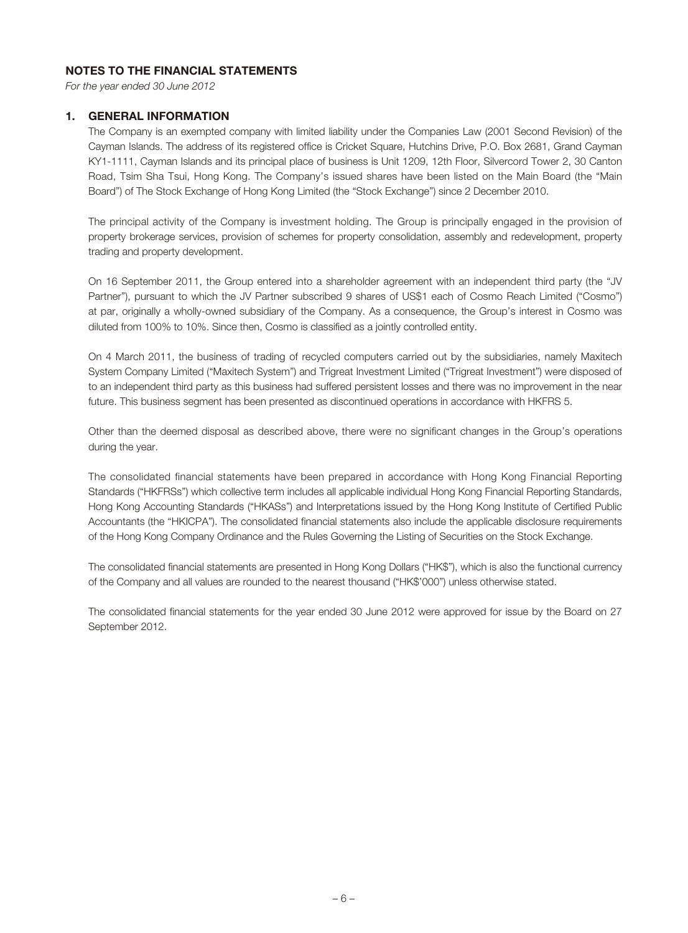## **NOTES TO THE FINANCIAL STATEMENTS**

For the year ended 30 June 2012

#### **1. GENERAL INFORMATION**

The Company is an exempted company with limited liability under the Companies Law (2001 Second Revision) of the Cayman Islands. The address of its registered office is Cricket Square, Hutchins Drive, P.O. Box 2681, Grand Cayman KY1-1111, Cayman Islands and its principal place of business is Unit 1209, 12th Floor, Silvercord Tower 2, 30 Canton Road, Tsim Sha Tsui, Hong Kong. The Company's issued shares have been listed on the Main Board (the "Main Board") of The Stock Exchange of Hong Kong Limited (the "Stock Exchange") since 2 December 2010.

The principal activity of the Company is investment holding. The Group is principally engaged in the provision of property brokerage services, provision of schemes for property consolidation, assembly and redevelopment, property trading and property development.

On 16 September 2011, the Group entered into a shareholder agreement with an independent third party (the "JV Partner"), pursuant to which the JV Partner subscribed 9 shares of US\$1 each of Cosmo Reach Limited ("Cosmo") at par, originally a wholly-owned subsidiary of the Company. As a consequence, the Group's interest in Cosmo was diluted from 100% to 10%. Since then, Cosmo is classified as a jointly controlled entity.

On 4 March 2011, the business of trading of recycled computers carried out by the subsidiaries, namely Maxitech System Company Limited ("Maxitech System") and Trigreat Investment Limited ("Trigreat Investment") were disposed of to an independent third party as this business had suffered persistent losses and there was no improvement in the near future. This business segment has been presented as discontinued operations in accordance with HKFRS 5.

Other than the deemed disposal as described above, there were no significant changes in the Group's operations during the year.

The consolidated financial statements have been prepared in accordance with Hong Kong Financial Reporting Standards ("HKFRSs") which collective term includes all applicable individual Hong Kong Financial Reporting Standards, Hong Kong Accounting Standards ("HKASs") and Interpretations issued by the Hong Kong Institute of Certified Public Accountants (the "HKICPA"). The consolidated financial statements also include the applicable disclosure requirements of the Hong Kong Company Ordinance and the Rules Governing the Listing of Securities on the Stock Exchange.

The consolidated financial statements are presented in Hong Kong Dollars ("HK\$"), which is also the functional currency of the Company and all values are rounded to the nearest thousand ("HK\$'000") unless otherwise stated.

The consolidated financial statements for the year ended 30 June 2012 were approved for issue by the Board on 27 September 2012.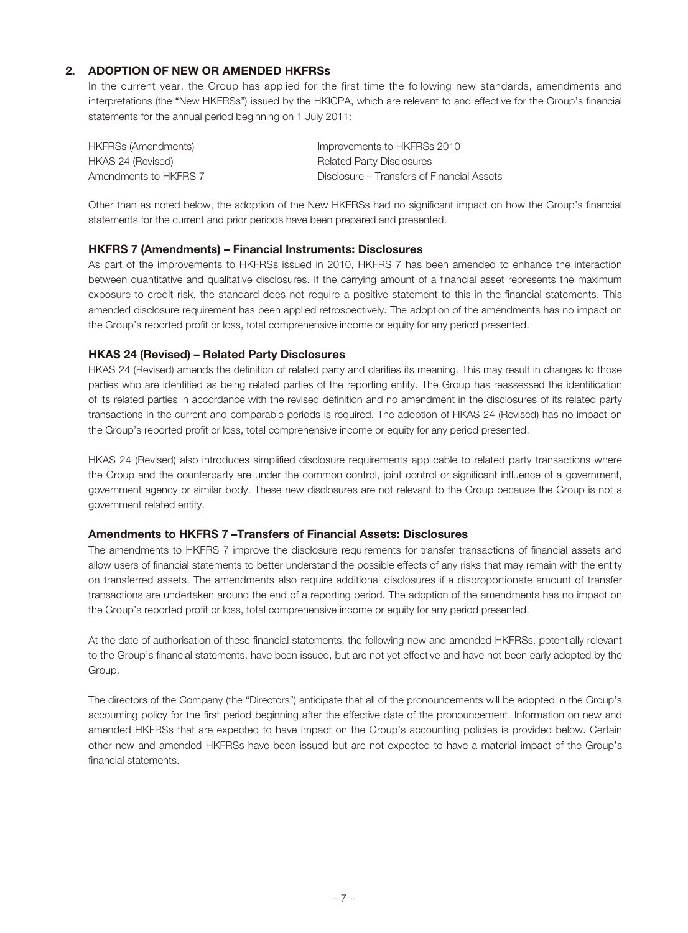# **2. ADOPTION OF NEW OR AMENDED HKFRSs**

In the current year, the Group has applied for the first time the following new standards, amendments and interpretations (the "New HKFRSs") issued by the HKICPA, which are relevant to and effective for the Group's financial statements for the annual period beginning on 1 July 2011:

| HKFRSs (Amendments)   | Improvements to HKFRSs 2010                |
|-----------------------|--------------------------------------------|
| HKAS 24 (Revised)     | <b>Related Party Disclosures</b>           |
| Amendments to HKFRS 7 | Disclosure – Transfers of Financial Assets |

Other than as noted below, the adoption of the New HKFRSs had no significant impact on how the Group's financial statements for the current and prior periods have been prepared and presented.

#### **HKFRS 7 (Amendments) – Financial Instruments: Disclosures**

As part of the improvements to HKFRSs issued in 2010, HKFRS 7 has been amended to enhance the interaction between quantitative and qualitative disclosures. If the carrying amount of a financial asset represents the maximum exposure to credit risk, the standard does not require a positive statement to this in the financial statements. This amended disclosure requirement has been applied retrospectively. The adoption of the amendments has no impact on the Group's reported profit or loss, total comprehensive income or equity for any period presented.

### **HKAS 24 (Revised) – Related Party Disclosures**

HKAS 24 (Revised) amends the definition of related party and clarifies its meaning. This may result in changes to those parties who are identified as being related parties of the reporting entity. The Group has reassessed the identification of its related parties in accordance with the revised definition and no amendment in the disclosures of its related party transactions in the current and comparable periods is required. The adoption of HKAS 24 (Revised) has no impact on the Group's reported profit or loss, total comprehensive income or equity for any period presented.

HKAS 24 (Revised) also introduces simplified disclosure requirements applicable to related party transactions where the Group and the counterparty are under the common control, joint control or significant influence of a government, government agency or similar body. These new disclosures are not relevant to the Group because the Group is not a government related entity.

#### **Amendments to HKFRS 7 –Transfers of Financial Assets: Disclosures**

The amendments to HKFRS 7 improve the disclosure requirements for transfer transactions of financial assets and allow users of financial statements to better understand the possible effects of any risks that may remain with the entity on transferred assets. The amendments also require additional disclosures if a disproportionate amount of transfer transactions are undertaken around the end of a reporting period. The adoption of the amendments has no impact on the Group's reported profit or loss, total comprehensive income or equity for any period presented.

At the date of authorisation of these financial statements, the following new and amended HKFRSs, potentially relevant to the Group's financial statements, have been issued, but are not yet effective and have not been early adopted by the Group.

The directors of the Company (the "Directors") anticipate that all of the pronouncements will be adopted in the Group's accounting policy for the first period beginning after the effective date of the pronouncement. Information on new and amended HKFRSs that are expected to have impact on the Group's accounting policies is provided below. Certain other new and amended HKFRSs have been issued but are not expected to have a material impact of the Group's financial statements.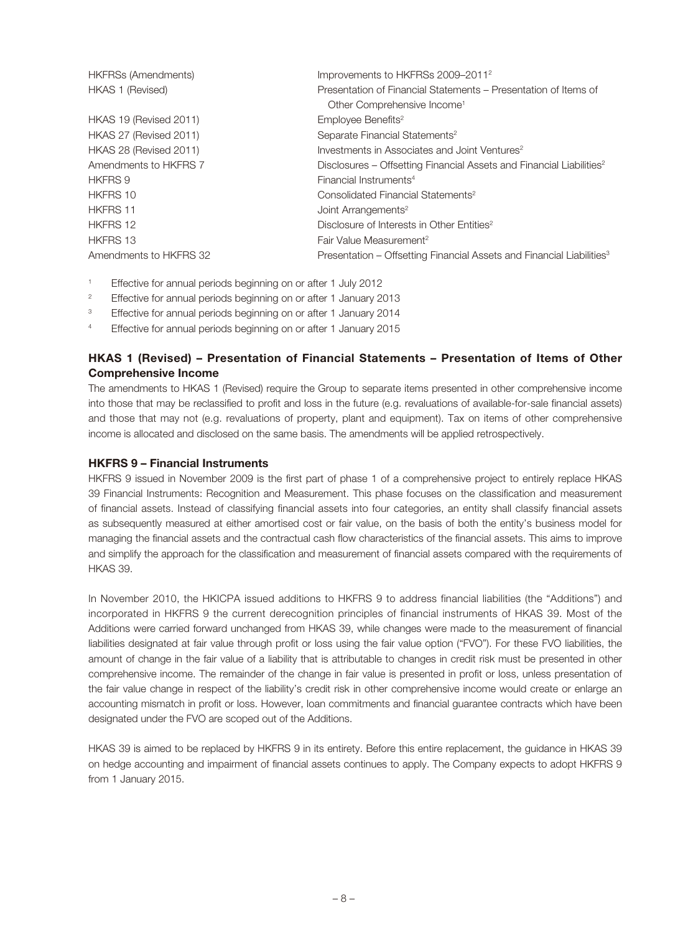| <b>HKFRSs (Amendments)</b> | Improvements to HKFRSs 2009-2011 <sup>2</sup>                                     |
|----------------------------|-----------------------------------------------------------------------------------|
| HKAS 1 (Revised)           | Presentation of Financial Statements – Presentation of Items of                   |
|                            | Other Comprehensive Income <sup>1</sup>                                           |
| HKAS 19 (Revised 2011)     | Employee Benefits <sup>2</sup>                                                    |
| HKAS 27 (Revised 2011)     | Separate Financial Statements <sup>2</sup>                                        |
| HKAS 28 (Revised 2011)     | Investments in Associates and Joint Ventures <sup>2</sup>                         |
| Amendments to HKFRS 7      | Disclosures – Offsetting Financial Assets and Financial Liabilities <sup>2</sup>  |
| <b>HKFRS 9</b>             | Financial Instruments <sup>4</sup>                                                |
| HKFRS 10                   | Consolidated Financial Statements <sup>2</sup>                                    |
| <b>HKFRS 11</b>            | Joint Arrangements <sup>2</sup>                                                   |
| <b>HKFRS 12</b>            | Disclosure of Interests in Other Entities <sup>2</sup>                            |
| HKFRS 13                   | Fair Value Measurement <sup>2</sup>                                               |
| Amendments to HKFRS 32     | Presentation – Offsetting Financial Assets and Financial Liabilities <sup>3</sup> |

- 1 Effective for annual periods beginning on or after 1 July 2012
- $\overline{2}$ Effective for annual periods beginning on or after 1 January 2013
- 3 Effective for annual periods beginning on or after 1 January 2014
- 4 Effective for annual periods beginning on or after 1 January 2015

# **HKAS 1 (Revised) – Presentation of Financial Statements – Presentation of Items of Other Comprehensive Income**

The amendments to HKAS 1 (Revised) require the Group to separate items presented in other comprehensive income into those that may be reclassified to profit and loss in the future (e.g. revaluations of available-for-sale financial assets) and those that may not (e.g. revaluations of property, plant and equipment). Tax on items of other comprehensive income is allocated and disclosed on the same basis. The amendments will be applied retrospectively.

### **HKFRS 9 – Financial Instruments**

HKFRS 9 issued in November 2009 is the first part of phase 1 of a comprehensive project to entirely replace HKAS 39 Financial Instruments: Recognition and Measurement. This phase focuses on the classification and measurement of financial assets. Instead of classifying financial assets into four categories, an entity shall classify financial assets as subsequently measured at either amortised cost or fair value, on the basis of both the entity's business model for managing the financial assets and the contractual cash flow characteristics of the financial assets. This aims to improve and simplify the approach for the classification and measurement of financial assets compared with the requirements of HKAS 39.

In November 2010, the HKICPA issued additions to HKFRS 9 to address financial liabilities (the "Additions") and incorporated in HKFRS 9 the current derecognition principles of financial instruments of HKAS 39. Most of the Additions were carried forward unchanged from HKAS 39, while changes were made to the measurement of financial liabilities designated at fair value through profit or loss using the fair value option ("FVO"). For these FVO liabilities, the amount of change in the fair value of a liability that is attributable to changes in credit risk must be presented in other comprehensive income. The remainder of the change in fair value is presented in profit or loss, unless presentation of the fair value change in respect of the liability's credit risk in other comprehensive income would create or enlarge an accounting mismatch in profit or loss. However, loan commitments and financial guarantee contracts which have been designated under the FVO are scoped out of the Additions.

HKAS 39 is aimed to be replaced by HKFRS 9 in its entirety. Before this entire replacement, the guidance in HKAS 39 on hedge accounting and impairment of financial assets continues to apply. The Company expects to adopt HKFRS 9 from 1 January 2015.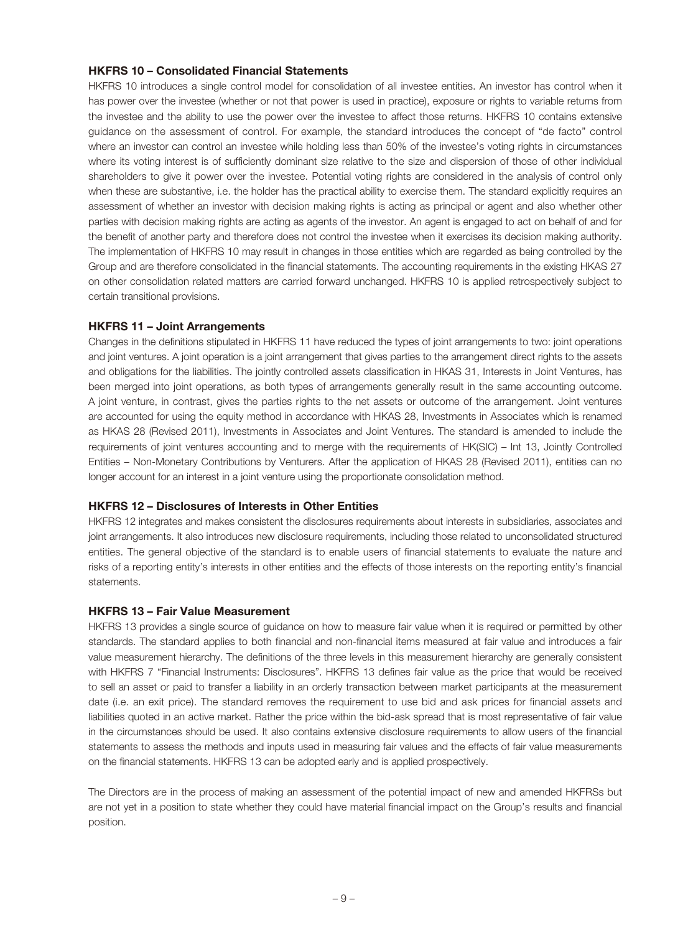#### **HKFRS 10 – Consolidated Financial Statements**

HKFRS 10 introduces a single control model for consolidation of all investee entities. An investor has control when it has power over the investee (whether or not that power is used in practice), exposure or rights to variable returns from the investee and the ability to use the power over the investee to affect those returns. HKFRS 10 contains extensive guidance on the assessment of control. For example, the standard introduces the concept of "de facto" control where an investor can control an investee while holding less than 50% of the investee's voting rights in circumstances where its voting interest is of sufficiently dominant size relative to the size and dispersion of those of other individual shareholders to give it power over the investee. Potential voting rights are considered in the analysis of control only when these are substantive, i.e. the holder has the practical ability to exercise them. The standard explicitly requires an assessment of whether an investor with decision making rights is acting as principal or agent and also whether other parties with decision making rights are acting as agents of the investor. An agent is engaged to act on behalf of and for the benefit of another party and therefore does not control the investee when it exercises its decision making authority. The implementation of HKFRS 10 may result in changes in those entities which are regarded as being controlled by the Group and are therefore consolidated in the financial statements. The accounting requirements in the existing HKAS 27 on other consolidation related matters are carried forward unchanged. HKFRS 10 is applied retrospectively subject to certain transitional provisions.

#### **HKFRS 11 – Joint Arrangements**

Changes in the definitions stipulated in HKFRS 11 have reduced the types of joint arrangements to two: joint operations and joint ventures. A joint operation is a joint arrangement that gives parties to the arrangement direct rights to the assets and obligations for the liabilities. The jointly controlled assets classification in HKAS 31, Interests in Joint Ventures, has been merged into joint operations, as both types of arrangements generally result in the same accounting outcome. A joint venture, in contrast, gives the parties rights to the net assets or outcome of the arrangement. Joint ventures are accounted for using the equity method in accordance with HKAS 28, Investments in Associates which is renamed as HKAS 28 (Revised 2011), Investments in Associates and Joint Ventures. The standard is amended to include the requirements of joint ventures accounting and to merge with the requirements of HK(SIC) – Int 13, Jointly Controlled Entities – Non-Monetary Contributions by Venturers. After the application of HKAS 28 (Revised 2011), entities can no longer account for an interest in a joint venture using the proportionate consolidation method.

#### **HKFRS 12 – Disclosures of Interests in Other Entities**

HKFRS 12 integrates and makes consistent the disclosures requirements about interests in subsidiaries, associates and joint arrangements. It also introduces new disclosure requirements, including those related to unconsolidated structured entities. The general objective of the standard is to enable users of financial statements to evaluate the nature and risks of a reporting entity's interests in other entities and the effects of those interests on the reporting entity's financial statements.

#### **HKFRS 13 – Fair Value Measurement**

HKFRS 13 provides a single source of guidance on how to measure fair value when it is required or permitted by other standards. The standard applies to both financial and non-financial items measured at fair value and introduces a fair value measurement hierarchy. The definitions of the three levels in this measurement hierarchy are generally consistent with HKFRS 7 "Financial Instruments: Disclosures". HKFRS 13 defines fair value as the price that would be received to sell an asset or paid to transfer a liability in an orderly transaction between market participants at the measurement date (i.e. an exit price). The standard removes the requirement to use bid and ask prices for financial assets and liabilities quoted in an active market. Rather the price within the bid-ask spread that is most representative of fair value in the circumstances should be used. It also contains extensive disclosure requirements to allow users of the financial statements to assess the methods and inputs used in measuring fair values and the effects of fair value measurements on the financial statements. HKFRS 13 can be adopted early and is applied prospectively.

The Directors are in the process of making an assessment of the potential impact of new and amended HKFRSs but are not yet in a position to state whether they could have material financial impact on the Group's results and financial position.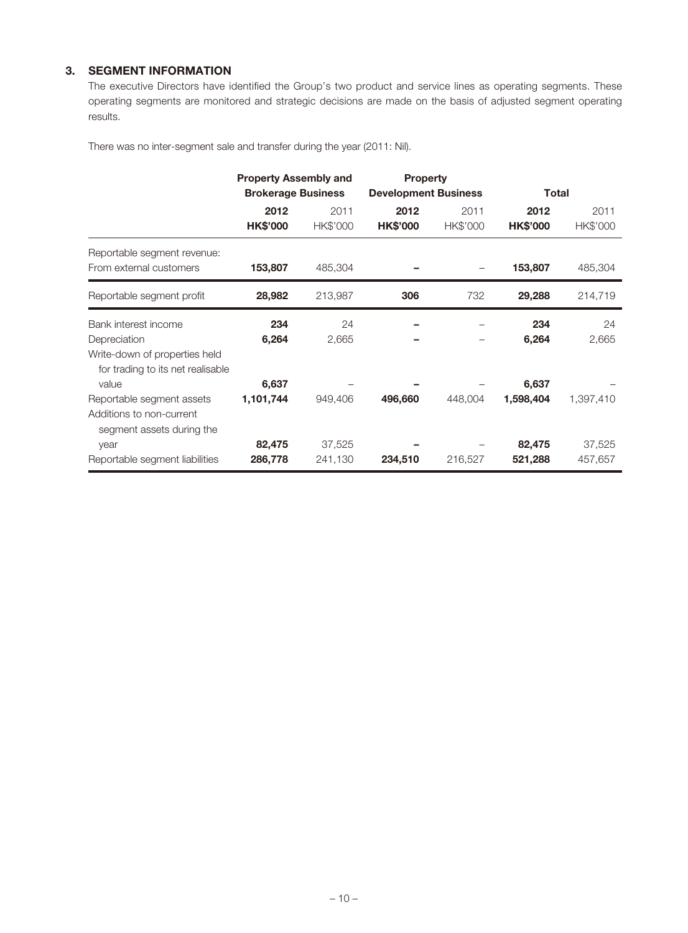# **3. SEGMENT INFORMATION**

The executive Directors have identified the Group's two product and service lines as operating segments. These operating segments are monitored and strategic decisions are made on the basis of adjusted segment operating results.

There was no inter-segment sale and transfer during the year (2011: Nil).

|                                                                    | <b>Property Assembly and</b> |          | <b>Property</b>             |          |                 |           |
|--------------------------------------------------------------------|------------------------------|----------|-----------------------------|----------|-----------------|-----------|
|                                                                    | <b>Brokerage Business</b>    |          | <b>Development Business</b> |          | Total           |           |
|                                                                    | 2012                         | 2011     | 2012                        | 2011     | 2012            | 2011      |
|                                                                    | <b>HK\$'000</b>              | HK\$'000 | <b>HK\$'000</b>             | HK\$'000 | <b>HK\$'000</b> | HK\$'000  |
| Reportable segment revenue:                                        |                              |          |                             |          |                 |           |
| From external customers                                            | 153,807                      | 485,304  |                             |          | 153,807         | 485,304   |
| Reportable segment profit                                          | 28,982                       | 213,987  | 306                         | 732      | 29,288          | 214,719   |
| Bank interest income                                               | 234                          | 24       |                             |          | 234             | 24        |
| Depreciation                                                       | 6,264                        | 2,665    |                             |          | 6,264           | 2,665     |
| Write-down of properties held<br>for trading to its net realisable |                              |          |                             |          |                 |           |
| value                                                              | 6,637                        |          |                             |          | 6,637           |           |
| Reportable segment assets                                          | 1,101,744                    | 949,406  | 496,660                     | 448,004  | 1,598,404       | 1,397,410 |
| Additions to non-current<br>segment assets during the              |                              |          |                             |          |                 |           |
| year                                                               | 82,475                       | 37,525   |                             |          | 82,475          | 37,525    |
| Reportable segment liabilities                                     | 286,778                      | 241,130  | 234,510                     | 216,527  | 521,288         | 457,657   |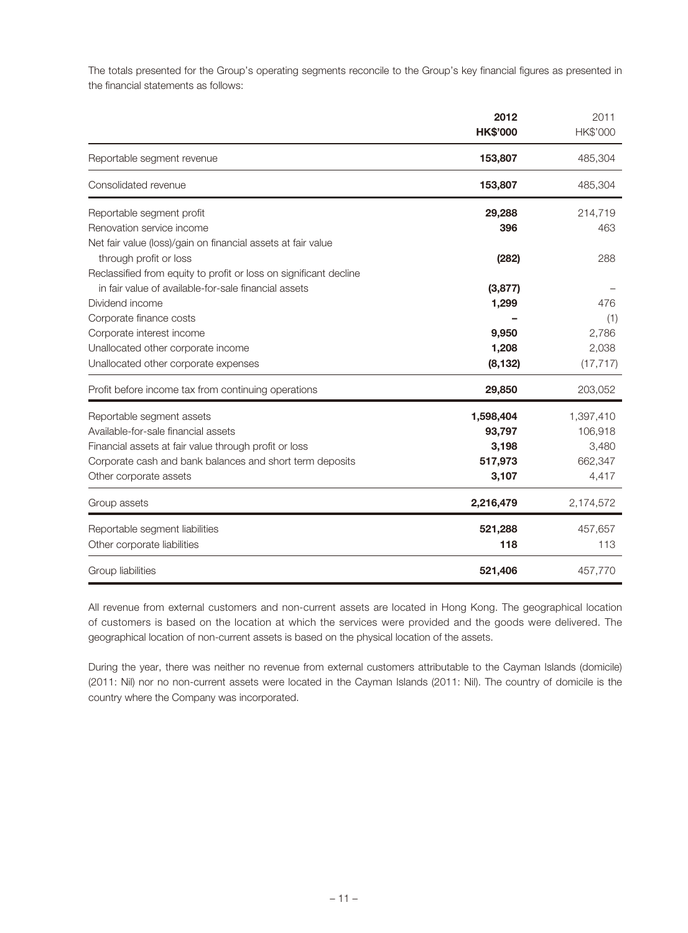The totals presented for the Group's operating segments reconcile to the Group's key financial figures as presented in the financial statements as follows:

|                                                                   | 2012<br><b>HK\$'000</b> | 2011<br>HK\$'000 |
|-------------------------------------------------------------------|-------------------------|------------------|
| Reportable segment revenue                                        | 153,807                 | 485,304          |
| Consolidated revenue                                              | 153,807                 | 485,304          |
| Reportable segment profit                                         | 29,288                  | 214,719          |
| Renovation service income                                         | 396                     | 463              |
| Net fair value (loss)/gain on financial assets at fair value      |                         |                  |
| through profit or loss                                            | (282)                   | 288              |
| Reclassified from equity to profit or loss on significant decline |                         |                  |
| in fair value of available-for-sale financial assets              | (3,877)                 |                  |
| Dividend income                                                   | 1,299                   | 476              |
| Corporate finance costs                                           |                         | (1)              |
| Corporate interest income                                         | 9,950                   | 2,786            |
| Unallocated other corporate income                                | 1,208                   | 2,038            |
| Unallocated other corporate expenses                              | (8, 132)                | (17, 717)        |
| Profit before income tax from continuing operations               | 29,850                  | 203,052          |
| Reportable segment assets                                         | 1,598,404               | 1,397,410        |
| Available-for-sale financial assets                               | 93,797                  | 106,918          |
| Financial assets at fair value through profit or loss             | 3,198                   | 3,480            |
| Corporate cash and bank balances and short term deposits          | 517,973                 | 662,347          |
| Other corporate assets                                            | 3,107                   | 4,417            |
| Group assets                                                      | 2,216,479               | 2,174,572        |
| Reportable segment liabilities                                    | 521,288                 | 457,657          |
| Other corporate liabilities                                       | 118                     | 113              |
| Group liabilities                                                 | 521,406                 | 457,770          |

All revenue from external customers and non-current assets are located in Hong Kong. The geographical location of customers is based on the location at which the services were provided and the goods were delivered. The geographical location of non-current assets is based on the physical location of the assets.

During the year, there was neither no revenue from external customers attributable to the Cayman Islands (domicile) (2011: Nil) nor no non-current assets were located in the Cayman Islands (2011: Nil). The country of domicile is the country where the Company was incorporated.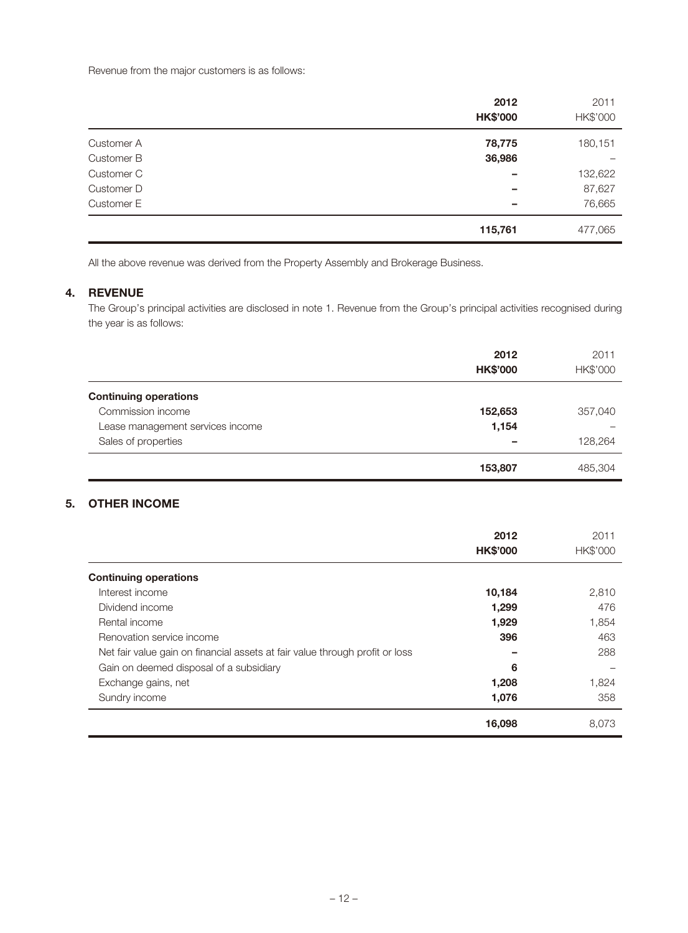Revenue from the major customers is as follows:

|            | 2012<br><b>HK\$'000</b> | 2011<br>HK\$'000 |
|------------|-------------------------|------------------|
| Customer A | 78,775                  | 180,151          |
| Customer B | 36,986                  |                  |
| Customer C |                         | 132,622          |
| Customer D |                         | 87,627           |
| Customer E |                         | 76,665           |
|            | 115,761                 | 477,065          |

All the above revenue was derived from the Property Assembly and Brokerage Business.

# **4. REVENUE**

The Group's principal activities are disclosed in note 1. Revenue from the Group's principal activities recognised during the year is as follows:

|                                  | 2012<br><b>HK\$'000</b> | 2011<br>HK\$'000 |
|----------------------------------|-------------------------|------------------|
| <b>Continuing operations</b>     |                         |                  |
| Commission income                | 152,653                 | 357,040          |
| Lease management services income | 1,154                   |                  |
| Sales of properties              |                         | 128,264          |
|                                  | 153,807                 | 485,304          |

# **5. OTHER INCOME**

|                                                                              | 2012<br><b>HK\$'000</b> | 2011<br><b>HK\$'000</b> |
|------------------------------------------------------------------------------|-------------------------|-------------------------|
| <b>Continuing operations</b>                                                 |                         |                         |
| Interest income                                                              | 10,184                  | 2,810                   |
| Dividend income                                                              | 1,299                   | 476                     |
| Rental income                                                                | 1,929                   | 1,854                   |
| Renovation service income                                                    | 396                     | 463                     |
| Net fair value gain on financial assets at fair value through profit or loss |                         | 288                     |
| Gain on deemed disposal of a subsidiary                                      | 6                       |                         |
| Exchange gains, net                                                          | 1,208                   | 1,824                   |
| Sundry income                                                                | 1,076                   | 358                     |
|                                                                              | 16,098                  | 8,073                   |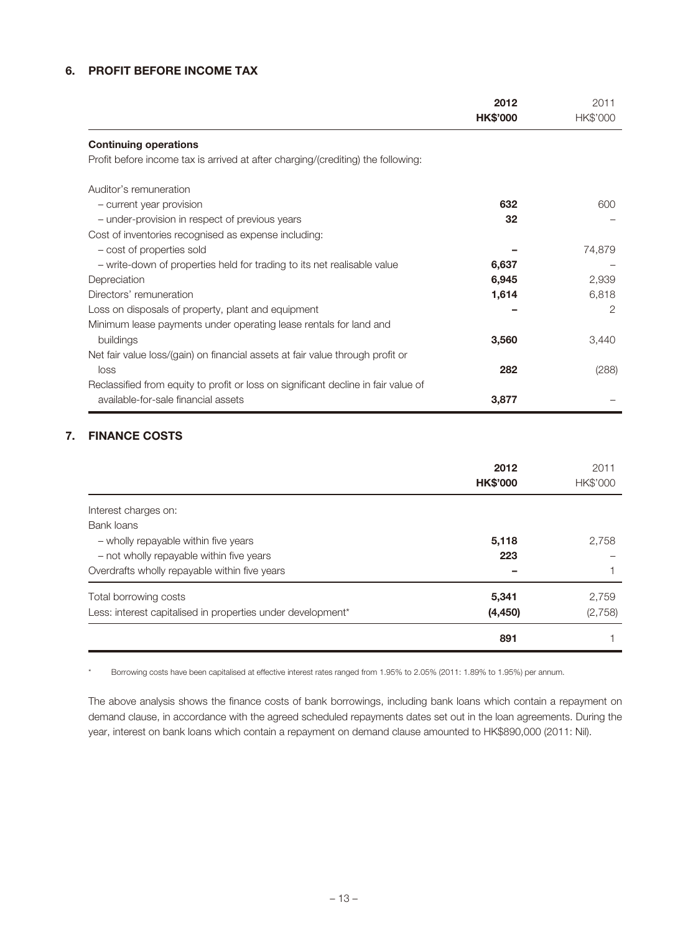# **6. PROFIT BEFORE INCOME TAX**

|                                                                                    | 2012<br><b>HK\$'000</b> | 2011<br>HK\$'000 |
|------------------------------------------------------------------------------------|-------------------------|------------------|
| <b>Continuing operations</b>                                                       |                         |                  |
| Profit before income tax is arrived at after charging/(crediting) the following:   |                         |                  |
| Auditor's remuneration                                                             |                         |                  |
| - current year provision                                                           | 632                     | 600              |
| - under-provision in respect of previous years                                     | 32                      |                  |
| Cost of inventories recognised as expense including:                               |                         |                  |
| - cost of properties sold                                                          |                         | 74,879           |
| - write-down of properties held for trading to its net realisable value            | 6,637                   |                  |
| Depreciation                                                                       | 6,945                   | 2,939            |
| Directors' remuneration                                                            | 1,614                   | 6,818            |
| Loss on disposals of property, plant and equipment                                 |                         | 2                |
| Minimum lease payments under operating lease rentals for land and                  |                         |                  |
| buildings                                                                          | 3,560                   | 3,440            |
| Net fair value loss/(gain) on financial assets at fair value through profit or     |                         |                  |
| loss                                                                               | 282                     | (288)            |
| Reclassified from equity to profit or loss on significant decline in fair value of |                         |                  |
| available-for-sale financial assets                                                | 3,877                   |                  |

# **7. FINANCE COSTS**

|                                                             | 2012<br><b>HK\$'000</b> | 2011<br><b>HK\$'000</b> |
|-------------------------------------------------------------|-------------------------|-------------------------|
| Interest charges on:                                        |                         |                         |
| Bank loans                                                  |                         |                         |
| - wholly repayable within five years                        | 5,118                   | 2.758                   |
| - not wholly repayable within five years                    | 223                     |                         |
| Overdrafts wholly repayable within five years               |                         |                         |
| Total borrowing costs                                       | 5,341                   | 2.759                   |
| Less: interest capitalised in properties under development* | (4, 450)                | (2,758)                 |
|                                                             | 891                     |                         |

\* Borrowing costs have been capitalised at effective interest rates ranged from 1.95% to 2.05% (2011: 1.89% to 1.95%) per annum.

The above analysis shows the finance costs of bank borrowings, including bank loans which contain a repayment on demand clause, in accordance with the agreed scheduled repayments dates set out in the loan agreements. During the year, interest on bank loans which contain a repayment on demand clause amounted to HK\$890,000 (2011: Nil).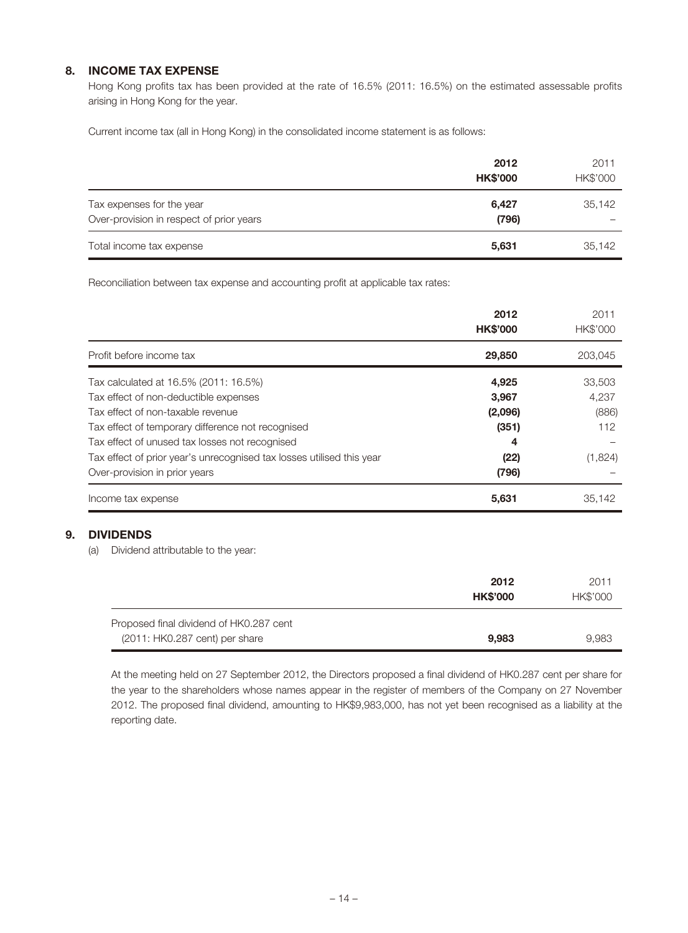# **8. INCOME TAX EXPENSE**

Hong Kong profits tax has been provided at the rate of 16.5% (2011: 16.5%) on the estimated assessable profits arising in Hong Kong for the year.

Current income tax (all in Hong Kong) in the consolidated income statement is as follows:

|                                                                       | 2012<br><b>HK\$'000</b> | 2011<br>HK\$'000 |
|-----------------------------------------------------------------------|-------------------------|------------------|
| Tax expenses for the year<br>Over-provision in respect of prior years | 6,427<br>(796)          | 35,142           |
| Total income tax expense                                              | 5,631                   | 35,142           |

Reconciliation between tax expense and accounting profit at applicable tax rates:

|                                                                       | 2012<br><b>HK\$'000</b> | 2011<br>HK\$'000 |
|-----------------------------------------------------------------------|-------------------------|------------------|
| Profit before income tax                                              | 29,850                  | 203.045          |
| Tax calculated at 16.5% (2011: 16.5%)                                 | 4,925                   | 33,503           |
| Tax effect of non-deductible expenses                                 | 3,967                   | 4,237            |
| Tax effect of non-taxable revenue                                     | (2,096)                 | (886)            |
| Tax effect of temporary difference not recognised                     | (351)                   | 112              |
| Tax effect of unused tax losses not recognised                        | 4                       |                  |
| Tax effect of prior year's unrecognised tax losses utilised this year | (22)                    | (1,824)          |
| Over-provision in prior years                                         | (796)                   |                  |
| Income tax expense                                                    | 5,631                   | 35.142           |

# **9. DIVIDENDS**

(a) Dividend attributable to the year:

|                                                                           | 2012<br><b>HK\$'000</b> | 2011<br>HK\$'000 |
|---------------------------------------------------------------------------|-------------------------|------------------|
| Proposed final dividend of HK0.287 cent<br>(2011: HK0.287 cent) per share | 9.983                   | 9.983            |

At the meeting held on 27 September 2012, the Directors proposed a final dividend of HK0.287 cent per share for the year to the shareholders whose names appear in the register of members of the Company on 27 November 2012. The proposed final dividend, amounting to HK\$9,983,000, has not yet been recognised as a liability at the reporting date.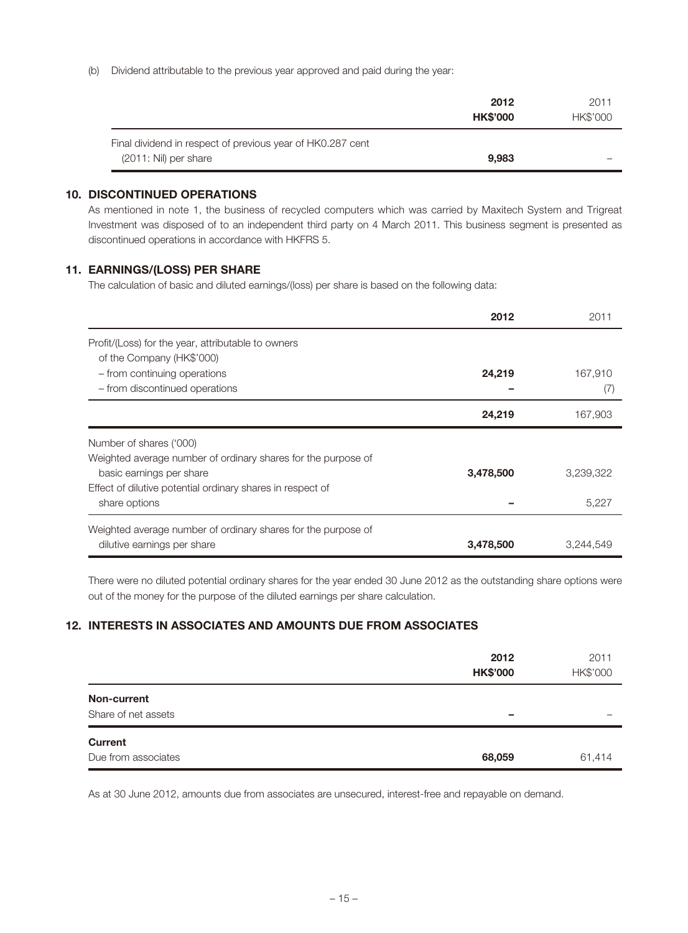(b) Dividend attributable to the previous year approved and paid during the year:

|                                                                                     | 2012<br><b>HK\$'000</b> | 2011<br>HK\$'000 |
|-------------------------------------------------------------------------------------|-------------------------|------------------|
| Final dividend in respect of previous year of HK0.287 cent<br>(2011: Nil) per share | 9.983                   |                  |

# **10. DISCONTINUED OPERATIONS**

As mentioned in note 1, the business of recycled computers which was carried by Maxitech System and Trigreat Investment was disposed of to an independent third party on 4 March 2011. This business segment is presented as discontinued operations in accordance with HKFRS 5.

# **11. EARNINGS/(LOSS) PER SHARE**

The calculation of basic and diluted earnings/(loss) per share is based on the following data:

|                                                               | 2012      | 2011      |
|---------------------------------------------------------------|-----------|-----------|
| Profit/(Loss) for the year, attributable to owners            |           |           |
| of the Company (HK\$'000)                                     |           |           |
| - from continuing operations                                  | 24,219    | 167,910   |
| - from discontinued operations                                |           | (7)       |
|                                                               | 24,219    | 167,903   |
| Number of shares ('000)                                       |           |           |
| Weighted average number of ordinary shares for the purpose of |           |           |
| basic earnings per share                                      | 3,478,500 | 3,239,322 |
| Effect of dilutive potential ordinary shares in respect of    |           |           |
| share options                                                 |           | 5.227     |
| Weighted average number of ordinary shares for the purpose of |           |           |
| dilutive earnings per share                                   | 3,478,500 | 3,244,549 |

There were no diluted potential ordinary shares for the year ended 30 June 2012 as the outstanding share options were out of the money for the purpose of the diluted earnings per share calculation.

# **12. INTERESTS IN ASSOCIATES AND AMOUNTS DUE FROM ASSOCIATES**

|                     | 2012<br><b>HK\$'000</b> | 2011<br>HK\$'000 |
|---------------------|-------------------------|------------------|
| Non-current         |                         |                  |
| Share of net assets | -                       |                  |
| <b>Current</b>      |                         |                  |
| Due from associates | 68,059                  | 61,414           |

As at 30 June 2012, amounts due from associates are unsecured, interest-free and repayable on demand.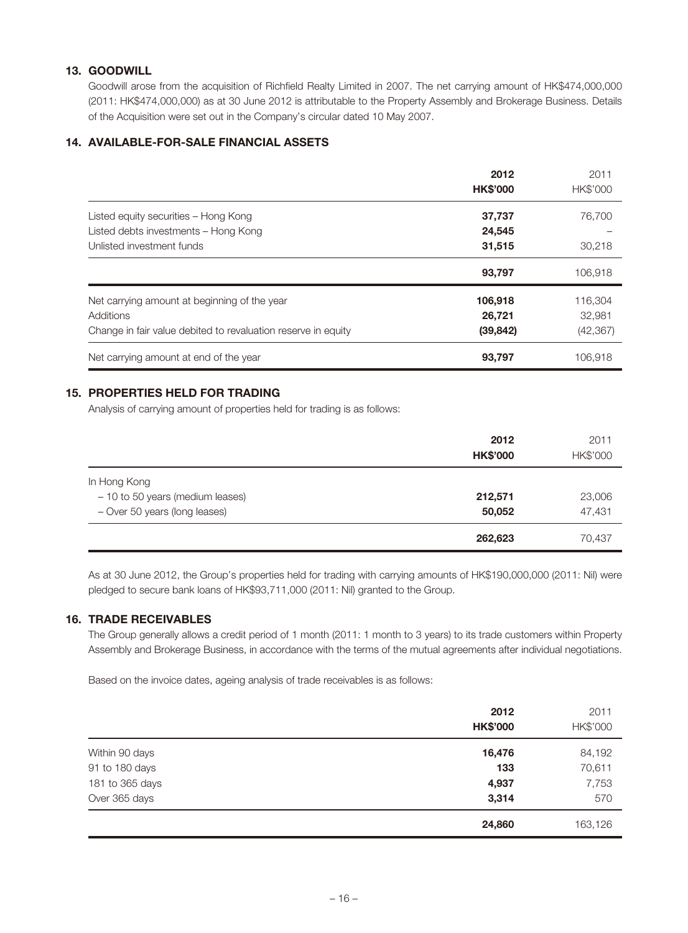# **13. GOODWILL**

Goodwill arose from the acquisition of Richfield Realty Limited in 2007. The net carrying amount of HK\$474,000,000 (2011: HK\$474,000,000) as at 30 June 2012 is attributable to the Property Assembly and Brokerage Business. Details of the Acquisition were set out in the Company's circular dated 10 May 2007.

# **14. AVAILABLE-FOR-SALE FINANCIAL ASSETS**

|                                                               | 2012<br><b>HK\$'000</b> | 2011<br>HK\$'000 |
|---------------------------------------------------------------|-------------------------|------------------|
| Listed equity securities - Hong Kong                          | 37,737                  | 76,700           |
| Listed debts investments - Hong Kong                          | 24,545                  |                  |
| Unlisted investment funds                                     | 31,515                  | 30.218           |
|                                                               | 93,797                  | 106.918          |
| Net carrying amount at beginning of the year                  | 106,918                 | 116,304          |
| Additions                                                     | 26,721                  | 32.981           |
| Change in fair value debited to revaluation reserve in equity | (39, 842)               | (42, 367)        |
| Net carrying amount at end of the year                        | 93,797                  | 106.918          |

# **15. PROPERTIES HELD FOR TRADING**

Analysis of carrying amount of properties held for trading is as follows:

|                                  | 2012<br><b>HK\$'000</b> | 2011<br>HK\$'000 |
|----------------------------------|-------------------------|------------------|
| In Hong Kong                     |                         |                  |
| - 10 to 50 years (medium leases) | 212,571                 | 23,006           |
| - Over 50 years (long leases)    | 50,052                  | 47,431           |
|                                  | 262,623                 | 70,437           |

As at 30 June 2012, the Group's properties held for trading with carrying amounts of HK\$190,000,000 (2011: Nil) were pledged to secure bank loans of HK\$93,711,000 (2011: Nil) granted to the Group.

# **16. TRADE RECEIVABLES**

The Group generally allows a credit period of 1 month (2011: 1 month to 3 years) to its trade customers within Property Assembly and Brokerage Business, in accordance with the terms of the mutual agreements after individual negotiations.

Based on the invoice dates, ageing analysis of trade receivables is as follows:

|                 | 2012<br><b>HK\$'000</b> | 2011<br>HK\$'000 |
|-----------------|-------------------------|------------------|
| Within 90 days  | 16,476                  | 84,192           |
| 91 to 180 days  | 133                     | 70,611           |
| 181 to 365 days | 4,937                   | 7,753            |
| Over 365 days   | 3,314                   | 570              |
|                 | 24,860                  | 163,126          |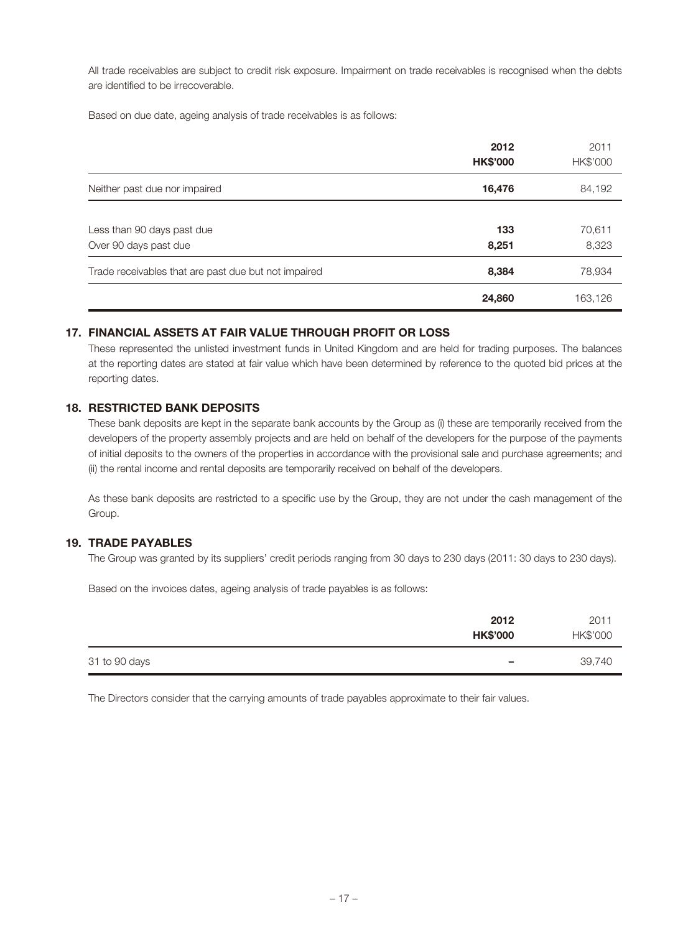All trade receivables are subject to credit risk exposure. Impairment on trade receivables is recognised when the debts are identified to be irrecoverable.

Based on due date, ageing analysis of trade receivables is as follows:

|                                                      | 2012<br><b>HK\$'000</b> | 2011<br>HK\$'000 |
|------------------------------------------------------|-------------------------|------------------|
| Neither past due nor impaired                        | 16,476                  | 84,192           |
| Less than 90 days past due<br>Over 90 days past due  | 133<br>8,251            | 70,611<br>8,323  |
| Trade receivables that are past due but not impaired | 8,384                   | 78,934           |
|                                                      | 24,860                  | 163,126          |

### **17. FINANCIAL ASSETS AT FAIR VALUE THROUGH PROFIT OR LOSS**

These represented the unlisted investment funds in United Kingdom and are held for trading purposes. The balances at the reporting dates are stated at fair value which have been determined by reference to the quoted bid prices at the reporting dates.

# **18. RESTRICTED BANK DEPOSITS**

These bank deposits are kept in the separate bank accounts by the Group as (i) these are temporarily received from the developers of the property assembly projects and are held on behalf of the developers for the purpose of the payments of initial deposits to the owners of the properties in accordance with the provisional sale and purchase agreements; and (ii) the rental income and rental deposits are temporarily received on behalf of the developers.

As these bank deposits are restricted to a specific use by the Group, they are not under the cash management of the Group.

#### **19. TRADE PAYABLES**

The Group was granted by its suppliers' credit periods ranging from 30 days to 230 days (2011: 30 days to 230 days).

Based on the invoices dates, ageing analysis of trade payables is as follows:

|               | 2012<br><b>HK\$'000</b> | 2011<br>HK\$'000 |
|---------------|-------------------------|------------------|
| 31 to 90 days | -                       | 39,740           |

The Directors consider that the carrying amounts of trade payables approximate to their fair values.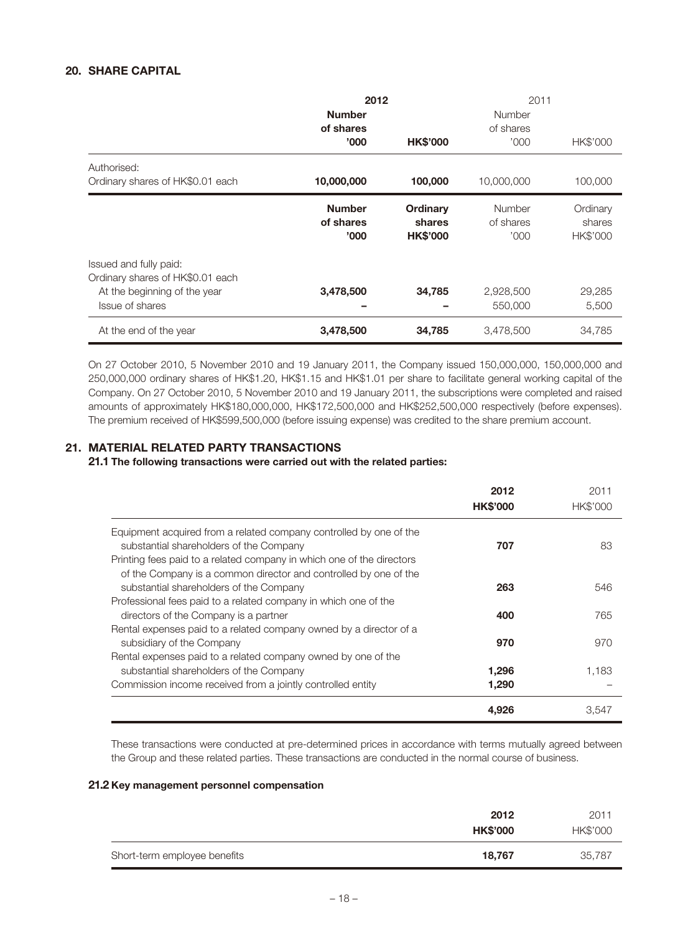# **20. SHARE CAPITAL**

|                                                                                                                      | 2012<br><b>Number</b>               |                                       | 2011<br>Number              |                                |
|----------------------------------------------------------------------------------------------------------------------|-------------------------------------|---------------------------------------|-----------------------------|--------------------------------|
|                                                                                                                      | of shares<br>'000                   | <b>HK\$'000</b>                       | of shares<br>'000           | HK\$'000                       |
| Authorised:<br>Ordinary shares of HK\$0.01 each                                                                      | 10,000,000                          | 100,000                               | 10,000,000                  | 100,000                        |
|                                                                                                                      | <b>Number</b><br>of shares<br>'000' | Ordinary<br>shares<br><b>HK\$'000</b> | Number<br>of shares<br>'000 | Ordinary<br>shares<br>HK\$'000 |
| Issued and fully paid:<br>Ordinary shares of HK\$0.01 each<br>At the beginning of the year<br><b>Issue of shares</b> | 3,478,500                           | 34,785                                | 2,928,500<br>550,000        | 29,285<br>5,500                |
| At the end of the year                                                                                               | 3,478,500                           | 34,785                                | 3,478,500                   | 34,785                         |

On 27 October 2010, 5 November 2010 and 19 January 2011, the Company issued 150,000,000, 150,000,000 and 250,000,000 ordinary shares of HK\$1.20, HK\$1.15 and HK\$1.01 per share to facilitate general working capital of the Company. On 27 October 2010, 5 November 2010 and 19 January 2011, the subscriptions were completed and raised amounts of approximately HK\$180,000,000, HK\$172,500,000 and HK\$252,500,000 respectively (before expenses). The premium received of HK\$599,500,000 (before issuing expense) was credited to the share premium account.

# **21. MATERIAL RELATED PARTY TRANSACTIONS**

#### **21.1 The following transactions were carried out with the related parties:**

|                                                                                                                                           | 2012<br><b>HK\$'000</b> | 2011<br><b>HK\$'000</b> |
|-------------------------------------------------------------------------------------------------------------------------------------------|-------------------------|-------------------------|
| Equipment acquired from a related company controlled by one of the                                                                        |                         |                         |
| substantial shareholders of the Company                                                                                                   | 707                     | 83                      |
| Printing fees paid to a related company in which one of the directors<br>of the Company is a common director and controlled by one of the |                         |                         |
| substantial shareholders of the Company                                                                                                   | 263                     | 546                     |
| Professional fees paid to a related company in which one of the                                                                           |                         |                         |
| directors of the Company is a partner                                                                                                     | 400                     | 765                     |
| Rental expenses paid to a related company owned by a director of a                                                                        |                         |                         |
| subsidiary of the Company                                                                                                                 | 970                     | 970                     |
| Rental expenses paid to a related company owned by one of the                                                                             |                         |                         |
| substantial shareholders of the Company                                                                                                   | 1,296                   | 1.183                   |
| Commission income received from a jointly controlled entity                                                                               | 1,290                   |                         |
|                                                                                                                                           | 4.926                   | 3,547                   |

These transactions were conducted at pre-determined prices in accordance with terms mutually agreed between the Group and these related parties. These transactions are conducted in the normal course of business.

#### **21.2 Key management personnel compensation**

|                              | 2012<br><b>HK\$'000</b> | 2011<br>HK\$'000 |
|------------------------------|-------------------------|------------------|
| Short-term employee benefits | 18.767                  | 35,787           |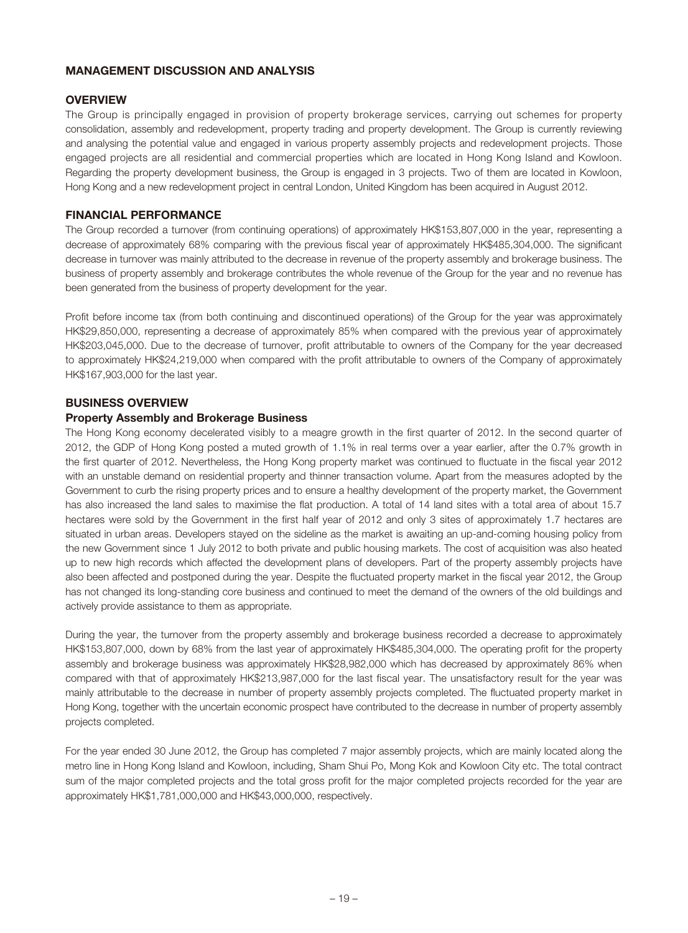## **MANAGEMENT DISCUSSION AND ANALYSIS**

# **OVERVIEW**

The Group is principally engaged in provision of property brokerage services, carrying out schemes for property consolidation, assembly and redevelopment, property trading and property development. The Group is currently reviewing and analysing the potential value and engaged in various property assembly projects and redevelopment projects. Those engaged projects are all residential and commercial properties which are located in Hong Kong Island and Kowloon. Regarding the property development business, the Group is engaged in 3 projects. Two of them are located in Kowloon, Hong Kong and a new redevelopment project in central London, United Kingdom has been acquired in August 2012.

# **FINANCIAL PERFORMANCE**

The Group recorded a turnover (from continuing operations) of approximately HK\$153,807,000 in the year, representing a decrease of approximately 68% comparing with the previous fiscal year of approximately HK\$485,304,000. The significant decrease in turnover was mainly attributed to the decrease in revenue of the property assembly and brokerage business. The business of property assembly and brokerage contributes the whole revenue of the Group for the year and no revenue has been generated from the business of property development for the year.

Profit before income tax (from both continuing and discontinued operations) of the Group for the year was approximately HK\$29,850,000, representing a decrease of approximately 85% when compared with the previous year of approximately HK\$203,045,000. Due to the decrease of turnover, profit attributable to owners of the Company for the year decreased to approximately HK\$24,219,000 when compared with the profit attributable to owners of the Company of approximately HK\$167,903,000 for the last year.

### **BUSINESS OVERVIEW**

### **Property Assembly and Brokerage Business**

The Hong Kong economy decelerated visibly to a meagre growth in the first quarter of 2012. In the second quarter of 2012, the GDP of Hong Kong posted a muted growth of 1.1% in real terms over a year earlier, after the 0.7% growth in the first quarter of 2012. Nevertheless, the Hong Kong property market was continued to fluctuate in the fiscal year 2012 with an unstable demand on residential property and thinner transaction volume. Apart from the measures adopted by the Government to curb the rising property prices and to ensure a healthy development of the property market, the Government has also increased the land sales to maximise the flat production. A total of 14 land sites with a total area of about 15.7 hectares were sold by the Government in the first half year of 2012 and only 3 sites of approximately 1.7 hectares are situated in urban areas. Developers stayed on the sideline as the market is awaiting an up-and-coming housing policy from the new Government since 1 July 2012 to both private and public housing markets. The cost of acquisition was also heated up to new high records which affected the development plans of developers. Part of the property assembly projects have also been affected and postponed during the year. Despite the fluctuated property market in the fiscal year 2012, the Group has not changed its long-standing core business and continued to meet the demand of the owners of the old buildings and actively provide assistance to them as appropriate.

During the year, the turnover from the property assembly and brokerage business recorded a decrease to approximately HK\$153,807,000, down by 68% from the last year of approximately HK\$485,304,000. The operating profit for the property assembly and brokerage business was approximately HK\$28,982,000 which has decreased by approximately 86% when compared with that of approximately HK\$213,987,000 for the last fiscal year. The unsatisfactory result for the year was mainly attributable to the decrease in number of property assembly projects completed. The fluctuated property market in Hong Kong, together with the uncertain economic prospect have contributed to the decrease in number of property assembly projects completed.

For the year ended 30 June 2012, the Group has completed 7 major assembly projects, which are mainly located along the metro line in Hong Kong Island and Kowloon, including, Sham Shui Po, Mong Kok and Kowloon City etc. The total contract sum of the major completed projects and the total gross profit for the major completed projects recorded for the year are approximately HK\$1,781,000,000 and HK\$43,000,000, respectively.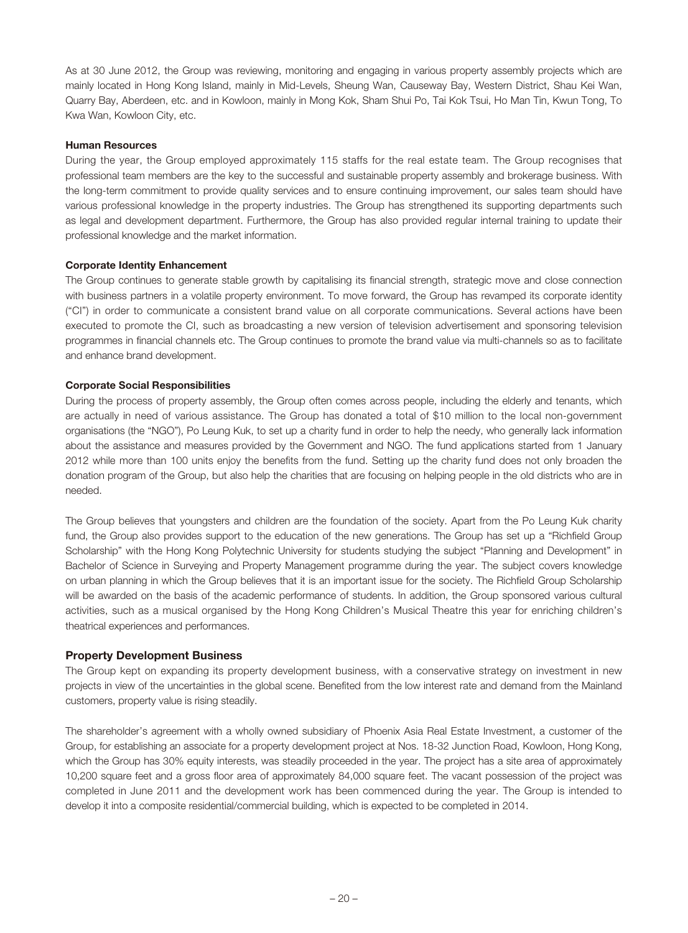As at 30 June 2012, the Group was reviewing, monitoring and engaging in various property assembly projects which are mainly located in Hong Kong Island, mainly in Mid-Levels, Sheung Wan, Causeway Bay, Western District, Shau Kei Wan, Quarry Bay, Aberdeen, etc. and in Kowloon, mainly in Mong Kok, Sham Shui Po, Tai Kok Tsui, Ho Man Tin, Kwun Tong, To Kwa Wan, Kowloon City, etc.

#### **Human Resources**

During the year, the Group employed approximately 115 staffs for the real estate team. The Group recognises that professional team members are the key to the successful and sustainable property assembly and brokerage business. With the long-term commitment to provide quality services and to ensure continuing improvement, our sales team should have various professional knowledge in the property industries. The Group has strengthened its supporting departments such as legal and development department. Furthermore, the Group has also provided regular internal training to update their professional knowledge and the market information.

#### **Corporate Identity Enhancement**

The Group continues to generate stable growth by capitalising its financial strength, strategic move and close connection with business partners in a volatile property environment. To move forward, the Group has revamped its corporate identity ("CI") in order to communicate a consistent brand value on all corporate communications. Several actions have been executed to promote the CI, such as broadcasting a new version of television advertisement and sponsoring television programmes in financial channels etc. The Group continues to promote the brand value via multi-channels so as to facilitate and enhance brand development.

#### **Corporate Social Responsibilities**

During the process of property assembly, the Group often comes across people, including the elderly and tenants, which are actually in need of various assistance. The Group has donated a total of \$10 million to the local non-government organisations (the "NGO"), Po Leung Kuk, to set up a charity fund in order to help the needy, who generally lack information about the assistance and measures provided by the Government and NGO. The fund applications started from 1 January 2012 while more than 100 units enjoy the benefits from the fund. Setting up the charity fund does not only broaden the donation program of the Group, but also help the charities that are focusing on helping people in the old districts who are in needed.

The Group believes that youngsters and children are the foundation of the society. Apart from the Po Leung Kuk charity fund, the Group also provides support to the education of the new generations. The Group has set up a "Richfield Group Scholarship" with the Hong Kong Polytechnic University for students studying the subject "Planning and Development" in Bachelor of Science in Surveying and Property Management programme during the year. The subject covers knowledge on urban planning in which the Group believes that it is an important issue for the society. The Richfield Group Scholarship will be awarded on the basis of the academic performance of students. In addition, the Group sponsored various cultural activities, such as a musical organised by the Hong Kong Children's Musical Theatre this year for enriching children's theatrical experiences and performances.

### **Property Development Business**

The Group kept on expanding its property development business, with a conservative strategy on investment in new projects in view of the uncertainties in the global scene. Benefited from the low interest rate and demand from the Mainland customers, property value is rising steadily.

The shareholder's agreement with a wholly owned subsidiary of Phoenix Asia Real Estate Investment, a customer of the Group, for establishing an associate for a property development project at Nos. 18-32 Junction Road, Kowloon, Hong Kong, which the Group has 30% equity interests, was steadily proceeded in the year. The project has a site area of approximately 10,200 square feet and a gross floor area of approximately 84,000 square feet. The vacant possession of the project was completed in June 2011 and the development work has been commenced during the year. The Group is intended to develop it into a composite residential/commercial building, which is expected to be completed in 2014.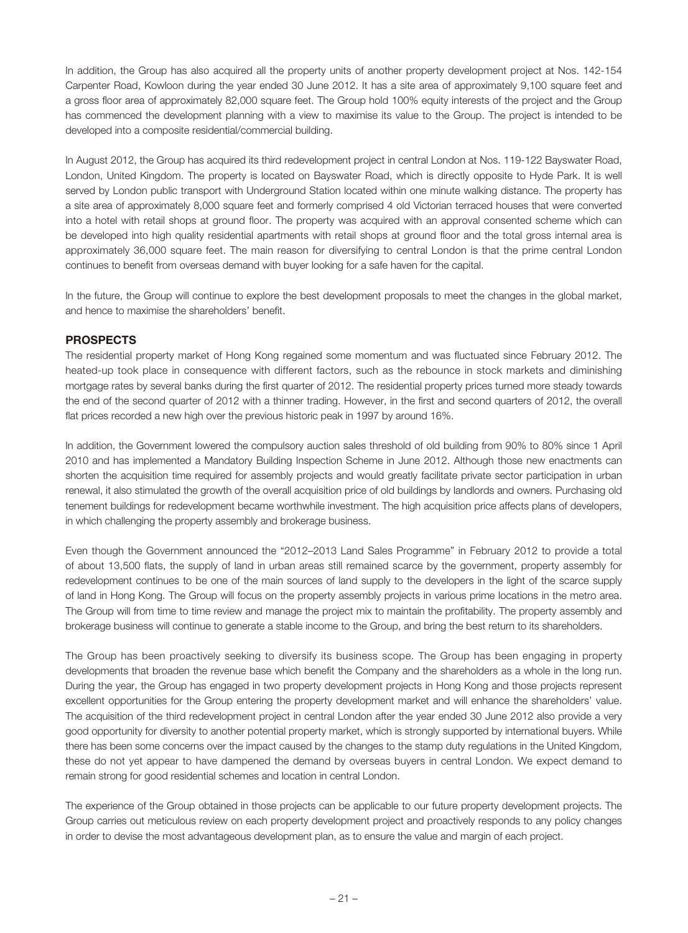In addition, the Group has also acquired all the property units of another property development project at Nos. 142-154 Carpenter Road, Kowloon during the year ended 30 June 2012. It has a site area of approximately 9,100 square feet and a gross floor area of approximately 82,000 square feet. The Group hold 100% equity interests of the project and the Group has commenced the development planning with a view to maximise its value to the Group. The project is intended to be developed into a composite residential/commercial building.

In August 2012, the Group has acquired its third redevelopment project in central London at Nos. 119-122 Bayswater Road, London, United Kingdom. The property is located on Bayswater Road, which is directly opposite to Hyde Park. It is well served by London public transport with Underground Station located within one minute walking distance. The property has a site area of approximately 8,000 square feet and formerly comprised 4 old Victorian terraced houses that were converted into a hotel with retail shops at ground floor. The property was acquired with an approval consented scheme which can be developed into high quality residential apartments with retail shops at ground floor and the total gross internal area is approximately 36,000 square feet. The main reason for diversifying to central London is that the prime central London continues to benefit from overseas demand with buyer looking for a safe haven for the capital.

In the future, the Group will continue to explore the best development proposals to meet the changes in the global market, and hence to maximise the shareholders' benefit.

# **PROSPECTS**

The residential property market of Hong Kong regained some momentum and was fluctuated since February 2012. The heated-up took place in consequence with different factors, such as the rebounce in stock markets and diminishing mortgage rates by several banks during the first quarter of 2012. The residential property prices turned more steady towards the end of the second quarter of 2012 with a thinner trading. However, in the first and second quarters of 2012, the overall flat prices recorded a new high over the previous historic peak in 1997 by around 16%.

In addition, the Government lowered the compulsory auction sales threshold of old building from 90% to 80% since 1 April 2010 and has implemented a Mandatory Building Inspection Scheme in June 2012. Although those new enactments can shorten the acquisition time required for assembly projects and would greatly facilitate private sector participation in urban renewal, it also stimulated the growth of the overall acquisition price of old buildings by landlords and owners. Purchasing old tenement buildings for redevelopment became worthwhile investment. The high acquisition price affects plans of developers, in which challenging the property assembly and brokerage business.

Even though the Government announced the "2012–2013 Land Sales Programme" in February 2012 to provide a total of about 13,500 flats, the supply of land in urban areas still remained scarce by the government, property assembly for redevelopment continues to be one of the main sources of land supply to the developers in the light of the scarce supply of land in Hong Kong. The Group will focus on the property assembly projects in various prime locations in the metro area. The Group will from time to time review and manage the project mix to maintain the profitability. The property assembly and brokerage business will continue to generate a stable income to the Group, and bring the best return to its shareholders.

The Group has been proactively seeking to diversify its business scope. The Group has been engaging in property developments that broaden the revenue base which benefit the Company and the shareholders as a whole in the long run. During the year, the Group has engaged in two property development projects in Hong Kong and those projects represent excellent opportunities for the Group entering the property development market and will enhance the shareholders' value. The acquisition of the third redevelopment project in central London after the year ended 30 June 2012 also provide a very good opportunity for diversity to another potential property market, which is strongly supported by international buyers. While there has been some concerns over the impact caused by the changes to the stamp duty regulations in the United Kingdom, these do not yet appear to have dampened the demand by overseas buyers in central London. We expect demand to remain strong for good residential schemes and location in central London.

The experience of the Group obtained in those projects can be applicable to our future property development projects. The Group carries out meticulous review on each property development project and proactively responds to any policy changes in order to devise the most advantageous development plan, as to ensure the value and margin of each project.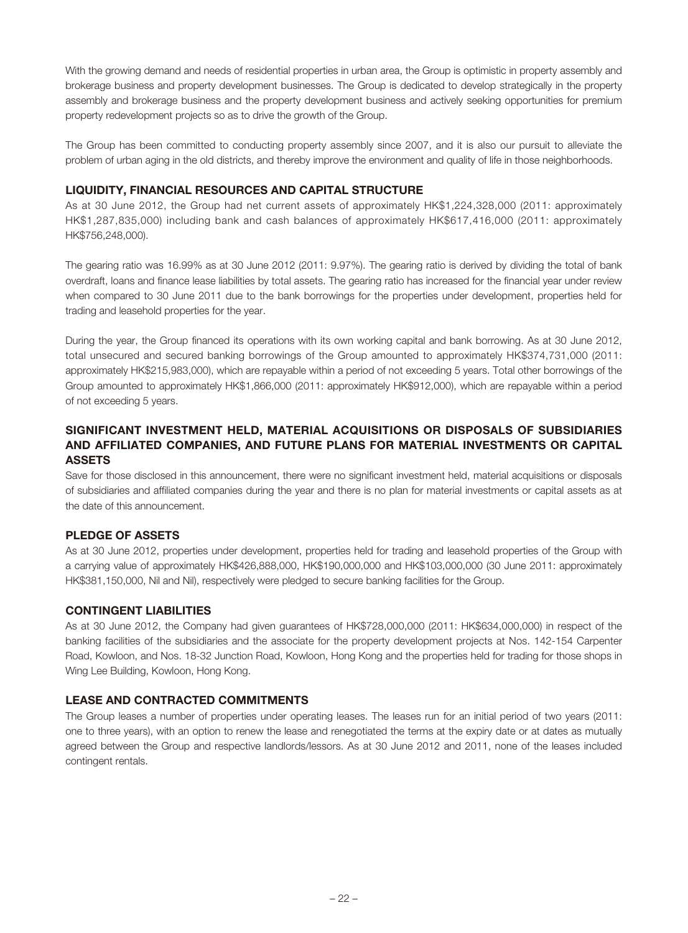With the growing demand and needs of residential properties in urban area, the Group is optimistic in property assembly and brokerage business and property development businesses. The Group is dedicated to develop strategically in the property assembly and brokerage business and the property development business and actively seeking opportunities for premium property redevelopment projects so as to drive the growth of the Group.

The Group has been committed to conducting property assembly since 2007, and it is also our pursuit to alleviate the problem of urban aging in the old districts, and thereby improve the environment and quality of life in those neighborhoods.

# **LIQUIDITY, FINANCIAL RESOURCES AND CAPITAL STRUCTURE**

As at 30 June 2012, the Group had net current assets of approximately HK\$1,224,328,000 (2011: approximately HK\$1,287,835,000) including bank and cash balances of approximately HK\$617,416,000 (2011: approximately HK\$756,248,000).

The gearing ratio was 16.99% as at 30 June 2012 (2011: 9.97%). The gearing ratio is derived by dividing the total of bank overdraft, loans and finance lease liabilities by total assets. The gearing ratio has increased for the financial year under review when compared to 30 June 2011 due to the bank borrowings for the properties under development, properties held for trading and leasehold properties for the year.

During the year, the Group financed its operations with its own working capital and bank borrowing. As at 30 June 2012, total unsecured and secured banking borrowings of the Group amounted to approximately HK\$374,731,000 (2011: approximately HK\$215,983,000), which are repayable within a period of not exceeding 5 years. Total other borrowings of the Group amounted to approximately HK\$1,866,000 (2011: approximately HK\$912,000), which are repayable within a period of not exceeding 5 years.

# **SIGNIFICANT INVESTMENT HELD, MATERIAL ACQUISITIONS OR DISPOSALS OF SUBSIDIARIES AND AFFILIATED COMPANIES, AND FUTURE PLANS FOR MATERIAL INVESTMENTS OR CAPITAL ASSETS**

Save for those disclosed in this announcement, there were no significant investment held, material acquisitions or disposals of subsidiaries and affiliated companies during the year and there is no plan for material investments or capital assets as at the date of this announcement.

# **PLEDGE OF ASSETS**

As at 30 June 2012, properties under development, properties held for trading and leasehold properties of the Group with a carrying value of approximately HK\$426,888,000, HK\$190,000,000 and HK\$103,000,000 (30 June 2011: approximately HK\$381,150,000, Nil and Nil), respectively were pledged to secure banking facilities for the Group.

## **CONTINGENT LIABILITIES**

As at 30 June 2012, the Company had given guarantees of HK\$728,000,000 (2011: HK\$634,000,000) in respect of the banking facilities of the subsidiaries and the associate for the property development projects at Nos. 142-154 Carpenter Road, Kowloon, and Nos. 18-32 Junction Road, Kowloon, Hong Kong and the properties held for trading for those shops in Wing Lee Building, Kowloon, Hong Kong.

# **LEASE AND CONTRACTED COMMITMENTS**

The Group leases a number of properties under operating leases. The leases run for an initial period of two years (2011: one to three years), with an option to renew the lease and renegotiated the terms at the expiry date or at dates as mutually agreed between the Group and respective landlords/lessors. As at 30 June 2012 and 2011, none of the leases included contingent rentals.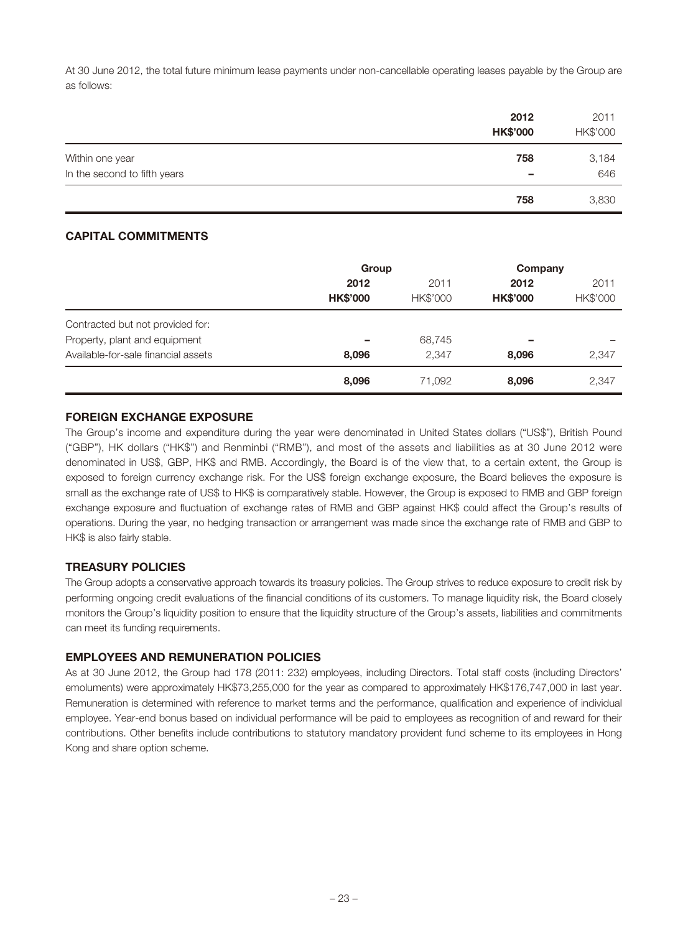At 30 June 2012, the total future minimum lease payments under non-cancellable operating leases payable by the Group are as follows:

|                              | 2012<br><b>HK\$'000</b>  | 2011<br>HK\$'000 |
|------------------------------|--------------------------|------------------|
| Within one year              | 758                      | 3,184            |
| In the second to fifth years | $\overline{\phantom{a}}$ | 646              |
|                              | 758                      | 3,830            |

# **CAPITAL COMMITMENTS**

|                                     | Group                    |                  | Company                 |                  |
|-------------------------------------|--------------------------|------------------|-------------------------|------------------|
|                                     | 2012<br><b>HK\$'000</b>  | 2011<br>HK\$'000 | 2012<br><b>HK\$'000</b> | 2011<br>HK\$'000 |
| Contracted but not provided for:    |                          |                  |                         |                  |
| Property, plant and equipment       | $\overline{\phantom{a}}$ | 68,745           | -                       |                  |
| Available-for-sale financial assets | 8,096                    | 2,347            | 8,096                   | 2,347            |
|                                     | 8,096                    | 71,092           | 8,096                   | 2,347            |

### **FOREIGN EXCHANGE EXPOSURE**

The Group's income and expenditure during the year were denominated in United States dollars ("US\$"), British Pound ("GBP"), HK dollars ("HK\$") and Renminbi ("RMB"), and most of the assets and liabilities as at 30 June 2012 were denominated in US\$, GBP, HK\$ and RMB. Accordingly, the Board is of the view that, to a certain extent, the Group is exposed to foreign currency exchange risk. For the US\$ foreign exchange exposure, the Board believes the exposure is small as the exchange rate of US\$ to HK\$ is comparatively stable. However, the Group is exposed to RMB and GBP foreign exchange exposure and fluctuation of exchange rates of RMB and GBP against HK\$ could affect the Group's results of operations. During the year, no hedging transaction or arrangement was made since the exchange rate of RMB and GBP to HK\$ is also fairly stable.

# **TREASURY POLICIES**

The Group adopts a conservative approach towards its treasury policies. The Group strives to reduce exposure to credit risk by performing ongoing credit evaluations of the financial conditions of its customers. To manage liquidity risk, the Board closely monitors the Group's liquidity position to ensure that the liquidity structure of the Group's assets, liabilities and commitments can meet its funding requirements.

### **EMPLOYEES AND REMUNERATION POLICIES**

As at 30 June 2012, the Group had 178 (2011: 232) employees, including Directors. Total staff costs (including Directors' emoluments) were approximately HK\$73,255,000 for the year as compared to approximately HK\$176,747,000 in last year. Remuneration is determined with reference to market terms and the performance, qualification and experience of individual employee. Year-end bonus based on individual performance will be paid to employees as recognition of and reward for their contributions. Other benefits include contributions to statutory mandatory provident fund scheme to its employees in Hong Kong and share option scheme.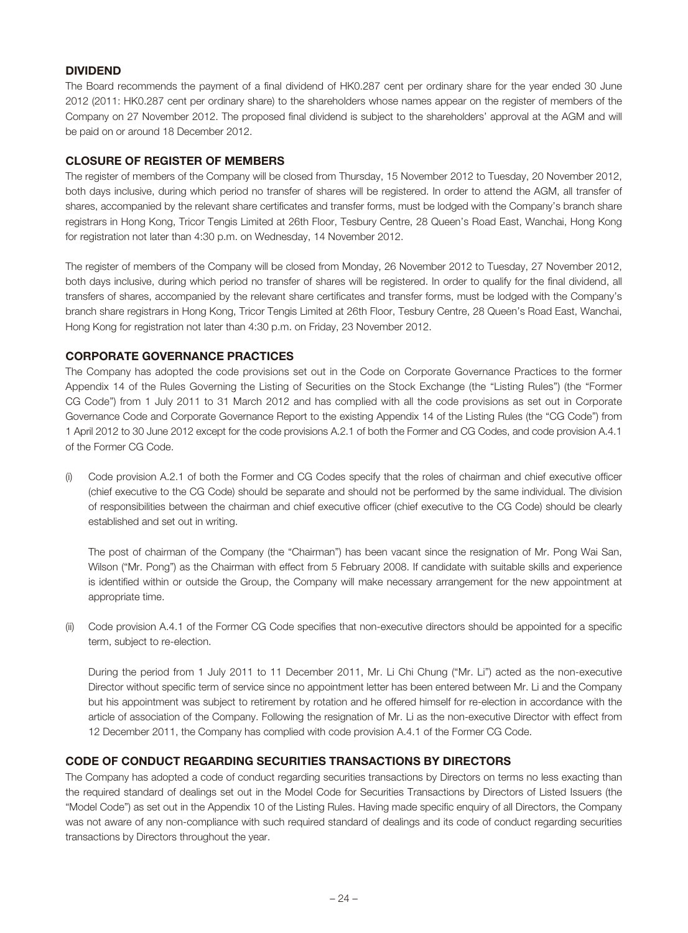### **DIVIDEND**

The Board recommends the payment of a final dividend of HK0.287 cent per ordinary share for the year ended 30 June 2012 (2011: HK0.287 cent per ordinary share) to the shareholders whose names appear on the register of members of the Company on 27 November 2012. The proposed final dividend is subject to the shareholders' approval at the AGM and will be paid on or around 18 December 2012.

### **CLOSURE OF REGISTER OF MEMBERS**

The register of members of the Company will be closed from Thursday, 15 November 2012 to Tuesday, 20 November 2012, both days inclusive, during which period no transfer of shares will be registered. In order to attend the AGM, all transfer of shares, accompanied by the relevant share certificates and transfer forms, must be lodged with the Company's branch share registrars in Hong Kong, Tricor Tengis Limited at 26th Floor, Tesbury Centre, 28 Queen's Road East, Wanchai, Hong Kong for registration not later than 4:30 p.m. on Wednesday, 14 November 2012.

The register of members of the Company will be closed from Monday, 26 November 2012 to Tuesday, 27 November 2012, both days inclusive, during which period no transfer of shares will be registered. In order to qualify for the final dividend, all transfers of shares, accompanied by the relevant share certificates and transfer forms, must be lodged with the Company's branch share registrars in Hong Kong, Tricor Tengis Limited at 26th Floor, Tesbury Centre, 28 Queen's Road East, Wanchai, Hong Kong for registration not later than 4:30 p.m. on Friday, 23 November 2012.

# **CORPORATE GOVERNANCE PRACTICES**

The Company has adopted the code provisions set out in the Code on Corporate Governance Practices to the former Appendix 14 of the Rules Governing the Listing of Securities on the Stock Exchange (the "Listing Rules") (the "Former CG Code") from 1 July 2011 to 31 March 2012 and has complied with all the code provisions as set out in Corporate Governance Code and Corporate Governance Report to the existing Appendix 14 of the Listing Rules (the "CG Code") from 1 April 2012 to 30 June 2012 except for the code provisions A.2.1 of both the Former and CG Codes, and code provision A.4.1 of the Former CG Code.

(i) Code provision A.2.1 of both the Former and CG Codes specify that the roles of chairman and chief executive officer (chief executive to the CG Code) should be separate and should not be performed by the same individual. The division of responsibilities between the chairman and chief executive officer (chief executive to the CG Code) should be clearly established and set out in writing.

The post of chairman of the Company (the "Chairman") has been vacant since the resignation of Mr. Pong Wai San, Wilson ("Mr. Pong") as the Chairman with effect from 5 February 2008. If candidate with suitable skills and experience is identified within or outside the Group, the Company will make necessary arrangement for the new appointment at appropriate time.

(ii) Code provision A.4.1 of the Former CG Code specifies that non-executive directors should be appointed for a specific term, subject to re-election.

During the period from 1 July 2011 to 11 December 2011, Mr. Li Chi Chung ("Mr. Li") acted as the non-executive Director without specific term of service since no appointment letter has been entered between Mr. Li and the Company but his appointment was subject to retirement by rotation and he offered himself for re-election in accordance with the article of association of the Company. Following the resignation of Mr. Li as the non-executive Director with effect from 12 December 2011, the Company has complied with code provision A.4.1 of the Former CG Code.

# **CODE OF CONDUCT REGARDING SECURITIES TRANSACTIONS BY DIRECTORS**

The Company has adopted a code of conduct regarding securities transactions by Directors on terms no less exacting than the required standard of dealings set out in the Model Code for Securities Transactions by Directors of Listed Issuers (the "Model Code") as set out in the Appendix 10 of the Listing Rules. Having made specific enquiry of all Directors, the Company was not aware of any non-compliance with such required standard of dealings and its code of conduct regarding securities transactions by Directors throughout the year.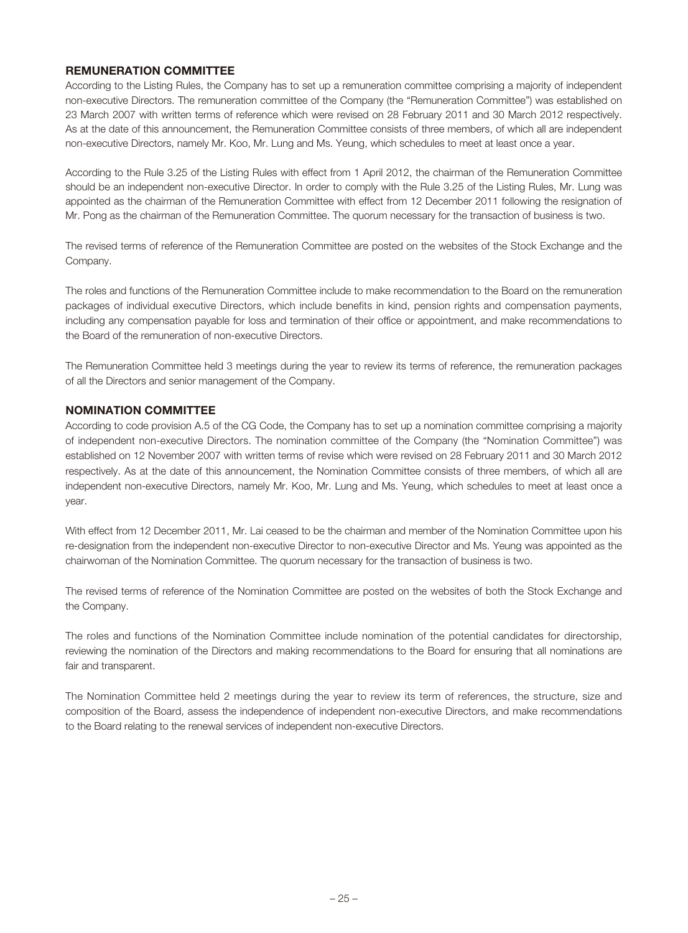### **REMUNERATION COMMITTEE**

According to the Listing Rules, the Company has to set up a remuneration committee comprising a majority of independent non-executive Directors. The remuneration committee of the Company (the "Remuneration Committee") was established on 23 March 2007 with written terms of reference which were revised on 28 February 2011 and 30 March 2012 respectively. As at the date of this announcement, the Remuneration Committee consists of three members, of which all are independent non-executive Directors, namely Mr. Koo, Mr. Lung and Ms. Yeung, which schedules to meet at least once a year.

According to the Rule 3.25 of the Listing Rules with effect from 1 April 2012, the chairman of the Remuneration Committee should be an independent non-executive Director. In order to comply with the Rule 3.25 of the Listing Rules, Mr. Lung was appointed as the chairman of the Remuneration Committee with effect from 12 December 2011 following the resignation of Mr. Pong as the chairman of the Remuneration Committee. The quorum necessary for the transaction of business is two.

The revised terms of reference of the Remuneration Committee are posted on the websites of the Stock Exchange and the Company.

The roles and functions of the Remuneration Committee include to make recommendation to the Board on the remuneration packages of individual executive Directors, which include benefits in kind, pension rights and compensation payments, including any compensation payable for loss and termination of their office or appointment, and make recommendations to the Board of the remuneration of non-executive Directors.

The Remuneration Committee held 3 meetings during the year to review its terms of reference, the remuneration packages of all the Directors and senior management of the Company.

### **NOMINATION COMMITTEE**

According to code provision A.5 of the CG Code, the Company has to set up a nomination committee comprising a majority of independent non-executive Directors. The nomination committee of the Company (the "Nomination Committee") was established on 12 November 2007 with written terms of revise which were revised on 28 February 2011 and 30 March 2012 respectively. As at the date of this announcement, the Nomination Committee consists of three members, of which all are independent non-executive Directors, namely Mr. Koo, Mr. Lung and Ms. Yeung, which schedules to meet at least once a year.

With effect from 12 December 2011, Mr. Lai ceased to be the chairman and member of the Nomination Committee upon his re-designation from the independent non-executive Director to non-executive Director and Ms. Yeung was appointed as the chairwoman of the Nomination Committee. The quorum necessary for the transaction of business is two.

The revised terms of reference of the Nomination Committee are posted on the websites of both the Stock Exchange and the Company.

The roles and functions of the Nomination Committee include nomination of the potential candidates for directorship, reviewing the nomination of the Directors and making recommendations to the Board for ensuring that all nominations are fair and transparent.

The Nomination Committee held 2 meetings during the year to review its term of references, the structure, size and composition of the Board, assess the independence of independent non-executive Directors, and make recommendations to the Board relating to the renewal services of independent non-executive Directors.